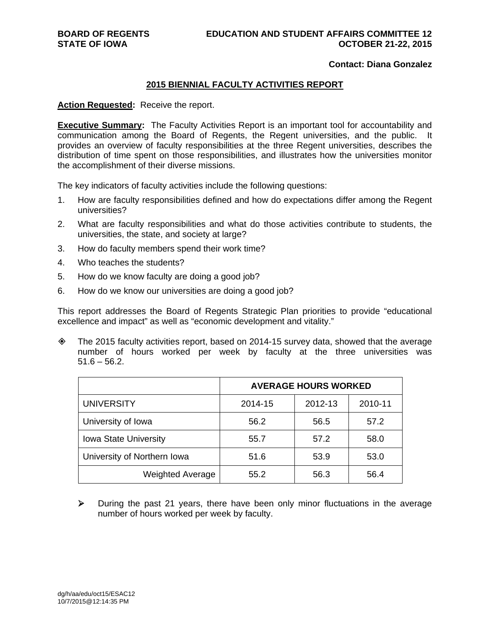#### **Contact: Diana Gonzalez**

#### **2015 BIENNIAL FACULTY ACTIVITIES REPORT**

**Action Requested:** Receive the report.

**Executive Summary:** The Faculty Activities Report is an important tool for accountability and communication among the Board of Regents, the Regent universities, and the public. It provides an overview of faculty responsibilities at the three Regent universities, describes the distribution of time spent on those responsibilities, and illustrates how the universities monitor the accomplishment of their diverse missions.

The key indicators of faculty activities include the following questions:

- 1. How are faculty responsibilities defined and how do expectations differ among the Regent universities?
- 2. What are faculty responsibilities and what do those activities contribute to students, the universities, the state, and society at large?
- 3. How do faculty members spend their work time?
- 4. Who teaches the students?
- 5. How do we know faculty are doing a good job?
- 6. How do we know our universities are doing a good job?

This report addresses the Board of Regents Strategic Plan priorities to provide "educational excellence and impact" as well as "economic development and vitality."

 $\diamond$  The 2015 faculty activities report, based on 2014-15 survey data, showed that the average number of hours worked per week by faculty at the three universities was  $51.6 - 56.2$ .

|                              | <b>AVERAGE HOURS WORKED</b> |         |         |  |  |  |
|------------------------------|-----------------------------|---------|---------|--|--|--|
| <b>UNIVERSITY</b>            | 2014-15                     | 2012-13 | 2010-11 |  |  |  |
| University of Iowa           | 56.2                        | 56.5    | 57.2    |  |  |  |
| <b>Iowa State University</b> | 55.7                        | 57.2    | 58.0    |  |  |  |
| University of Northern Iowa  | 51.6                        | 53.9    | 53.0    |  |  |  |
| <b>Weighted Average</b>      | 55.2                        | 56.3    | 56.4    |  |  |  |

 $\triangleright$  During the past 21 years, there have been only minor fluctuations in the average number of hours worked per week by faculty.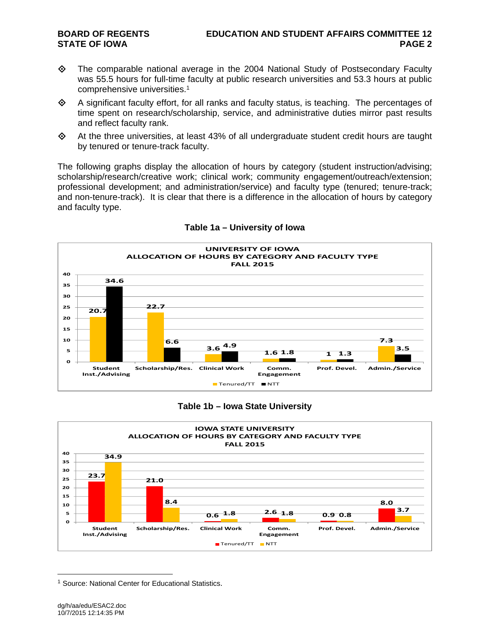- $\diamond$  The comparable national average in the 2004 National Study of Postsecondary Faculty was 55.5 hours for full-time faculty at public research universities and 53.3 hours at public comprehensive universities.1
- $\diamond$  A significant faculty effort, for all ranks and faculty status, is teaching. The percentages of time spent on research/scholarship, service, and administrative duties mirror past results and reflect faculty rank.
- At the three universities, at least 43% of all undergraduate student credit hours are taught by tenured or tenure-track faculty.

The following graphs display the allocation of hours by category (student instruction/advising; scholarship/research/creative work; clinical work; community engagement/outreach/extension; professional development; and administration/service) and faculty type (tenured; tenure-track; and non-tenure-track). It is clear that there is a difference in the allocation of hours by category and faculty type.



#### **Table 1a – University of Iowa**

#### **Table 1b – Iowa State University**



<sup>&</sup>lt;sup>1</sup> Source: National Center for Educational Statistics.

 $\overline{a}$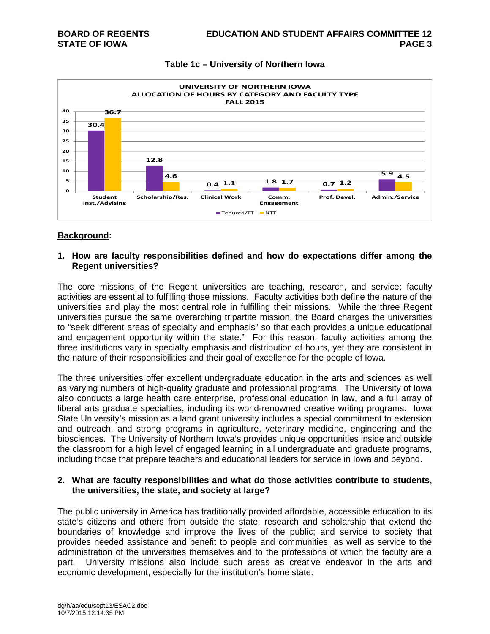



#### **Background:**

#### **1. How are faculty responsibilities defined and how do expectations differ among the Regent universities?**

The core missions of the Regent universities are teaching, research, and service; faculty activities are essential to fulfilling those missions. Faculty activities both define the nature of the universities and play the most central role in fulfilling their missions. While the three Regent universities pursue the same overarching tripartite mission, the Board charges the universities to "seek different areas of specialty and emphasis" so that each provides a unique educational and engagement opportunity within the state." For this reason, faculty activities among the three institutions vary in specialty emphasis and distribution of hours, yet they are consistent in the nature of their responsibilities and their goal of excellence for the people of Iowa.

The three universities offer excellent undergraduate education in the arts and sciences as well as varying numbers of high-quality graduate and professional programs. The University of Iowa also conducts a large health care enterprise, professional education in law, and a full array of liberal arts graduate specialties, including its world-renowned creative writing programs. Iowa State University's mission as a land grant university includes a special commitment to extension and outreach, and strong programs in agriculture, veterinary medicine, engineering and the biosciences. The University of Northern Iowa's provides unique opportunities inside and outside the classroom for a high level of engaged learning in all undergraduate and graduate programs, including those that prepare teachers and educational leaders for service in Iowa and beyond.

#### **2. What are faculty responsibilities and what do those activities contribute to students, the universities, the state, and society at large?**

The public university in America has traditionally provided affordable, accessible education to its state's citizens and others from outside the state; research and scholarship that extend the boundaries of knowledge and improve the lives of the public; and service to society that provides needed assistance and benefit to people and communities, as well as service to the administration of the universities themselves and to the professions of which the faculty are a part. University missions also include such areas as creative endeavor in the arts and economic development, especially for the institution's home state.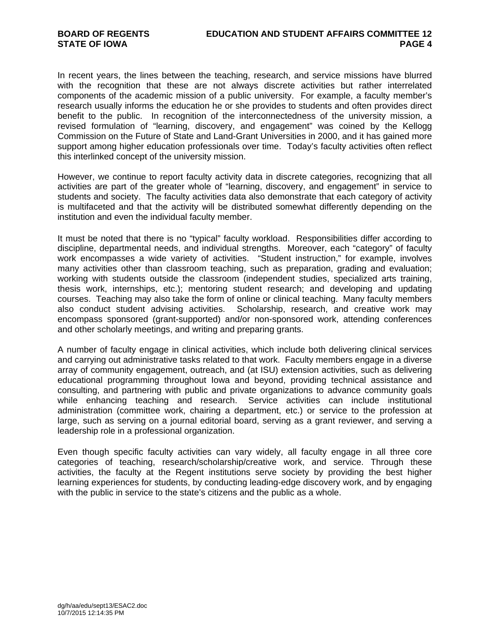In recent years, the lines between the teaching, research, and service missions have blurred with the recognition that these are not always discrete activities but rather interrelated components of the academic mission of a public university. For example, a faculty member's research usually informs the education he or she provides to students and often provides direct benefit to the public. In recognition of the interconnectedness of the university mission, a revised formulation of "learning, discovery, and engagement" was coined by the Kellogg Commission on the Future of State and Land-Grant Universities in 2000, and it has gained more support among higher education professionals over time. Today's faculty activities often reflect this interlinked concept of the university mission.

However, we continue to report faculty activity data in discrete categories, recognizing that all activities are part of the greater whole of "learning, discovery, and engagement" in service to students and society. The faculty activities data also demonstrate that each category of activity is multifaceted and that the activity will be distributed somewhat differently depending on the institution and even the individual faculty member.

It must be noted that there is no "typical" faculty workload. Responsibilities differ according to discipline, departmental needs, and individual strengths. Moreover, each "category" of faculty work encompasses a wide variety of activities. "Student instruction," for example, involves many activities other than classroom teaching, such as preparation, grading and evaluation; working with students outside the classroom (independent studies, specialized arts training, thesis work, internships, etc.); mentoring student research; and developing and updating courses. Teaching may also take the form of online or clinical teaching. Many faculty members also conduct student advising activities. Scholarship, research, and creative work may encompass sponsored (grant-supported) and/or non-sponsored work, attending conferences and other scholarly meetings, and writing and preparing grants.

A number of faculty engage in clinical activities, which include both delivering clinical services and carrying out administrative tasks related to that work. Faculty members engage in a diverse array of community engagement, outreach, and (at ISU) extension activities, such as delivering educational programming throughout Iowa and beyond, providing technical assistance and consulting, and partnering with public and private organizations to advance community goals while enhancing teaching and research. Service activities can include institutional administration (committee work, chairing a department, etc.) or service to the profession at large, such as serving on a journal editorial board, serving as a grant reviewer, and serving a leadership role in a professional organization.

Even though specific faculty activities can vary widely, all faculty engage in all three core categories of teaching, research/scholarship/creative work, and service. Through these activities, the faculty at the Regent institutions serve society by providing the best higher learning experiences for students, by conducting leading-edge discovery work, and by engaging with the public in service to the state's citizens and the public as a whole.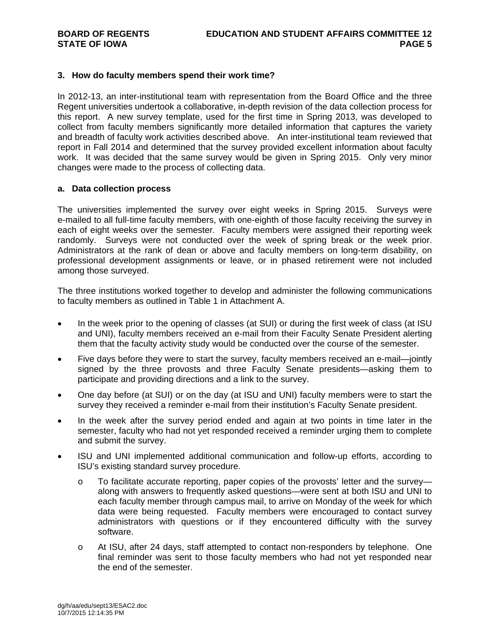#### **3. How do faculty members spend their work time?**

In 2012-13, an inter-institutional team with representation from the Board Office and the three Regent universities undertook a collaborative, in-depth revision of the data collection process for this report. A new survey template, used for the first time in Spring 2013, was developed to collect from faculty members significantly more detailed information that captures the variety and breadth of faculty work activities described above. An inter-institutional team reviewed that report in Fall 2014 and determined that the survey provided excellent information about faculty work. It was decided that the same survey would be given in Spring 2015. Only very minor changes were made to the process of collecting data.

#### **a. Data collection process**

The universities implemented the survey over eight weeks in Spring 2015. Surveys were e-mailed to all full-time faculty members, with one-eighth of those faculty receiving the survey in each of eight weeks over the semester. Faculty members were assigned their reporting week randomly. Surveys were not conducted over the week of spring break or the week prior. Administrators at the rank of dean or above and faculty members on long-term disability, on professional development assignments or leave, or in phased retirement were not included among those surveyed.

The three institutions worked together to develop and administer the following communications to faculty members as outlined in Table 1 in Attachment A.

- In the week prior to the opening of classes (at SUI) or during the first week of class (at ISU and UNI), faculty members received an e-mail from their Faculty Senate President alerting them that the faculty activity study would be conducted over the course of the semester.
- Five days before they were to start the survey, faculty members received an e-mail—jointly signed by the three provosts and three Faculty Senate presidents—asking them to participate and providing directions and a link to the survey.
- One day before (at SUI) or on the day (at ISU and UNI) faculty members were to start the survey they received a reminder e-mail from their institution's Faculty Senate president.
- In the week after the survey period ended and again at two points in time later in the semester, faculty who had not yet responded received a reminder urging them to complete and submit the survey.
- ISU and UNI implemented additional communication and follow-up efforts, according to ISU's existing standard survey procedure.
	- o To facilitate accurate reporting, paper copies of the provosts' letter and the survey along with answers to frequently asked questions—were sent at both ISU and UNI to each faculty member through campus mail, to arrive on Monday of the week for which data were being requested. Faculty members were encouraged to contact survey administrators with questions or if they encountered difficulty with the survey software.
	- o At ISU, after 24 days, staff attempted to contact non-responders by telephone. One final reminder was sent to those faculty members who had not yet responded near the end of the semester.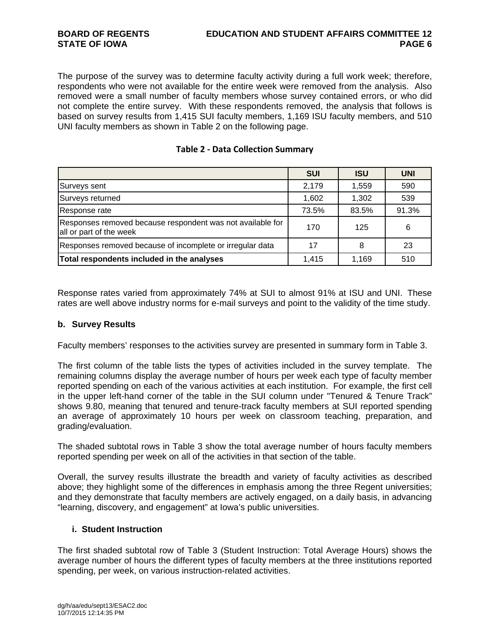The purpose of the survey was to determine faculty activity during a full work week; therefore, respondents who were not available for the entire week were removed from the analysis. Also removed were a small number of faculty members whose survey contained errors, or who did not complete the entire survey. With these respondents removed, the analysis that follows is based on survey results from 1,415 SUI faculty members, 1,169 ISU faculty members, and 510 UNI faculty members as shown in Table 2 on the following page.

|                                                                                       | <b>SUI</b> | <b>ISU</b> | <b>UNI</b> |
|---------------------------------------------------------------------------------------|------------|------------|------------|
| Surveys sent                                                                          | 2,179      | 1,559      | 590        |
| Surveys returned                                                                      | 1,602      | 1,302      | 539        |
| Response rate                                                                         | 73.5%      | 83.5%      | 91.3%      |
| Responses removed because respondent was not available for<br>all or part of the week | 170        | 125        | 6          |
| Responses removed because of incomplete or irregular data                             | 17         | 8          | 23         |
| Total respondents included in the analyses                                            | 1.415      | 1,169      | 510        |

Response rates varied from approximately 74% at SUI to almost 91% at ISU and UNI. These rates are well above industry norms for e-mail surveys and point to the validity of the time study.

#### **b. Survey Results**

Faculty members' responses to the activities survey are presented in summary form in Table 3.

The first column of the table lists the types of activities included in the survey template. The remaining columns display the average number of hours per week each type of faculty member reported spending on each of the various activities at each institution. For example, the first cell in the upper left-hand corner of the table in the SUI column under "Tenured & Tenure Track" shows 9.80, meaning that tenured and tenure-track faculty members at SUI reported spending an average of approximately 10 hours per week on classroom teaching, preparation, and grading/evaluation.

The shaded subtotal rows in Table 3 show the total average number of hours faculty members reported spending per week on all of the activities in that section of the table.

Overall, the survey results illustrate the breadth and variety of faculty activities as described above; they highlight some of the differences in emphasis among the three Regent universities; and they demonstrate that faculty members are actively engaged, on a daily basis, in advancing "learning, discovery, and engagement" at Iowa's public universities.

### **i. Student Instruction**

The first shaded subtotal row of Table 3 (Student Instruction: Total Average Hours) shows the average number of hours the different types of faculty members at the three institutions reported spending, per week, on various instruction-related activities.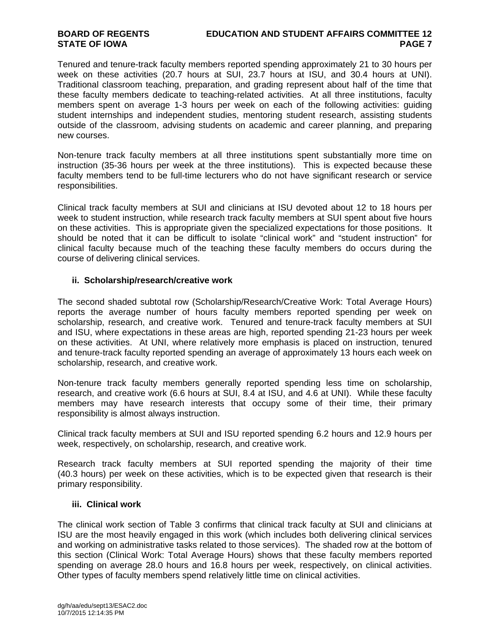Tenured and tenure-track faculty members reported spending approximately 21 to 30 hours per week on these activities (20.7 hours at SUI, 23.7 hours at ISU, and 30.4 hours at UNI). Traditional classroom teaching, preparation, and grading represent about half of the time that these faculty members dedicate to teaching-related activities. At all three institutions, faculty members spent on average 1-3 hours per week on each of the following activities: guiding student internships and independent studies, mentoring student research, assisting students outside of the classroom, advising students on academic and career planning, and preparing new courses.

Non-tenure track faculty members at all three institutions spent substantially more time on instruction (35-36 hours per week at the three institutions). This is expected because these faculty members tend to be full-time lecturers who do not have significant research or service responsibilities.

Clinical track faculty members at SUI and clinicians at ISU devoted about 12 to 18 hours per week to student instruction, while research track faculty members at SUI spent about five hours on these activities. This is appropriate given the specialized expectations for those positions. It should be noted that it can be difficult to isolate "clinical work" and "student instruction" for clinical faculty because much of the teaching these faculty members do occurs during the course of delivering clinical services.

### **ii. Scholarship/research/creative work**

The second shaded subtotal row (Scholarship/Research/Creative Work: Total Average Hours) reports the average number of hours faculty members reported spending per week on scholarship, research, and creative work. Tenured and tenure-track faculty members at SUI and ISU, where expectations in these areas are high, reported spending 21-23 hours per week on these activities. At UNI, where relatively more emphasis is placed on instruction, tenured and tenure-track faculty reported spending an average of approximately 13 hours each week on scholarship, research, and creative work.

Non-tenure track faculty members generally reported spending less time on scholarship, research, and creative work (6.6 hours at SUI, 8.4 at ISU, and 4.6 at UNI). While these faculty members may have research interests that occupy some of their time, their primary responsibility is almost always instruction.

Clinical track faculty members at SUI and ISU reported spending 6.2 hours and 12.9 hours per week, respectively, on scholarship, research, and creative work.

Research track faculty members at SUI reported spending the majority of their time (40.3 hours) per week on these activities, which is to be expected given that research is their primary responsibility.

### **iii. Clinical work**

The clinical work section of Table 3 confirms that clinical track faculty at SUI and clinicians at ISU are the most heavily engaged in this work (which includes both delivering clinical services and working on administrative tasks related to those services). The shaded row at the bottom of this section (Clinical Work: Total Average Hours) shows that these faculty members reported spending on average 28.0 hours and 16.8 hours per week, respectively, on clinical activities. Other types of faculty members spend relatively little time on clinical activities.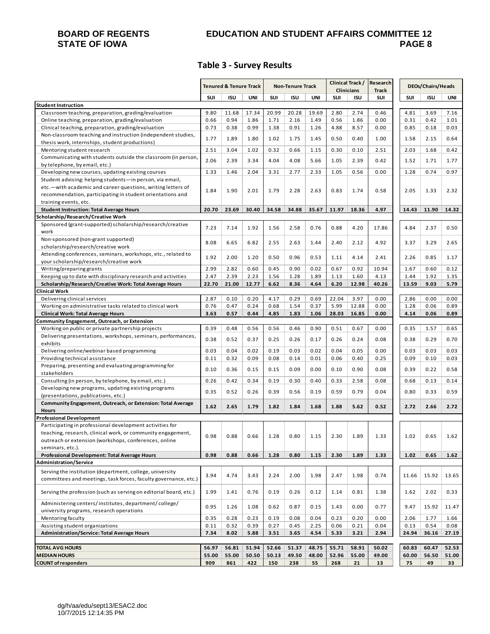# **STATE OF IOWA**

# **BOARD OF REGENTS EDUCATION AND STUDENT AFFAIRS COMMITTEE 12**

### **Table 3 ‐ Survey Results**

|                                                                                                                             | <b>Tenured &amp; Tenure Track</b> |              | <b>Non-Tenure Track</b> |              | Clinical Track/<br><b>Clinicians</b> |              | Research<br>DEOs/Chairs/Heads<br><b>Track</b> |            |              |               |               |               |
|-----------------------------------------------------------------------------------------------------------------------------|-----------------------------------|--------------|-------------------------|--------------|--------------------------------------|--------------|-----------------------------------------------|------------|--------------|---------------|---------------|---------------|
|                                                                                                                             | SUI                               | <b>ISU</b>   | UNI                     | SUI          | ISU                                  | UNI          | SUI                                           | <b>ISU</b> | SUI          | SUI           | <b>ISU</b>    | UNI           |
| <b>Student Instruction</b>                                                                                                  |                                   |              |                         |              |                                      |              |                                               |            |              |               |               |               |
| Classroom teaching, preparation, grading/evaluation                                                                         | 9.80                              | 11.68        | 17.34                   | 20.99        | 20.28                                | 19.69        | 2.80                                          | 2.74       | 0.46         | 4.81          | 3.69          | 7.16          |
| Online teaching, preparation, grading/evaluation                                                                            | 0.66                              | 0.94         | 1.86                    | 1.71         | 2.16                                 | 1.49         | 0.56                                          | 1.86       | 0.00         | 0.31          | 0.42          | 1.01          |
| Clinical teaching, preparation, grading/evaluation                                                                          | 0.73                              | 0.38         | 0.99                    | 1.38         | 0.91                                 | 1.26         | 4.88                                          | 8.57       | 0.00         | 0.85          | 0.18          | 0.03          |
| Non-classroom teaching and instruction (independent studies,                                                                | 1.77                              | 1.89         | 1.80                    | 1.02         | 1.75                                 | 1.45         | 0.50                                          | 0.40       | 1.00         | 1.58          | 2.15          | 0.64          |
| thesis work, internships, student productions)                                                                              |                                   |              |                         |              |                                      |              |                                               |            |              |               |               |               |
| Mentoring student research                                                                                                  | 2.51                              | 3.04         | 1.02                    | 0.32         | 0.66                                 | 1.15         | 0.30                                          | 0.10       | 2.51         | 2.03          | 1.68          | 0.42          |
| Communicating with students outside the classroom (in person,                                                               | 2.06                              | 2.39         | 3.34                    | 4.04         | 4.08                                 | 5.66         | 1.05                                          | 2.39       | 0.42         | 1.52          | 1.71          | 1.77          |
| by telephone, by email, etc.)                                                                                               |                                   |              |                         |              |                                      |              |                                               |            |              |               |               |               |
| Developing new courses, updating existing courses                                                                           | 1.33                              | 1.46         | 2.04                    | 3.31         | 2.77                                 | 2.33         | 1.05                                          | 0.56       | 0.00         | 1.28          | 0.74          | 0.97          |
| Student advising: helping students-in person, via email,                                                                    |                                   |              |                         |              |                                      |              |                                               |            |              |               |               |               |
| etc. - with academic and career questions, writing letters of                                                               | 1.84                              | 1.90         | 2.01                    | 1.79         | 2.28                                 | 2.63         | 0.83                                          | 1.74       | 0.58         | 2.05          | 1.33          | 2.32          |
| recommendation, participating in student orientations and                                                                   |                                   |              |                         |              |                                      |              |                                               |            |              |               |               |               |
| training events, etc.                                                                                                       |                                   |              |                         |              |                                      |              |                                               |            |              |               |               |               |
| <b>Student Instruction: Total Average Hours</b>                                                                             | 20.70                             | 23.69        | 30.40                   | 34.58        | 34.88                                | 35.67        | 11.97                                         | 18.36      | 4.97         | 14.43         | 11.90         | 14.32         |
| Scholarship/Research/Creative Work                                                                                          |                                   |              |                         |              |                                      |              |                                               |            |              |               |               |               |
| Sponsored (grant-supported) scholarship/research/creative<br>work                                                           | 7.23                              | 7.14         | 1.92                    | 1.56         | 2.58                                 | 0.76         | 0.88                                          | 4.20       | 17.86        | 4.84          | 2.37          | 0.50          |
| Non-sponsored (non-grant supported)                                                                                         |                                   |              |                         |              |                                      |              |                                               |            |              |               |               |               |
| scholarship/research/creative work                                                                                          | 8.08                              | 6.65         | 6.82                    | 2.55         | 2.63                                 | 1.44         | 2.40                                          | 2.12       | 4.92         | 3.37          | 3.29          | 2.65          |
| Attending conferences, seminars, workshops, etc., related to                                                                |                                   |              |                         |              |                                      |              |                                               |            |              |               |               |               |
| your scholarship/research/creative work                                                                                     | 1.92                              | 2.00         | 1.20                    | 0.50         | 0.96                                 | 0.53         | 1.11                                          | 4.14       | 2.41         | 2.26          | 0.85          | 1.17          |
| Writing/preparing grants                                                                                                    | 2.99                              | 2.82         | 0.60                    | 0.45         | 0.90                                 | 0.02         | 0.67                                          | 0.92       | 10.94        | 1.67          | 0.60          | 0.12          |
| Keeping up to date with disciplinary research and activities                                                                | 2.47                              | 2.39         | 2.23                    | 1.56         | 1.28                                 | 1.89         | 1.13                                          | 1.60       | 4.13         | 1.44          | 1.92          | 1.35          |
| Scholarship/Research/Creative Work: Total Average Hours                                                                     | 22.70                             | 21.00        | 12.77                   | 6.62         | 8.36                                 | 4.64         | 6.20                                          | 12.98      | 40.26        | 13.59         | 9.03          | 5.79          |
| <b>Clinical Work</b>                                                                                                        |                                   |              |                         |              |                                      |              |                                               |            |              |               |               |               |
| Delivering clinical services                                                                                                | 2.87                              | 0.10         | 0.20                    | 4.17         | 0.29                                 | 0.69         | 22.04                                         | 3.97       | 0.00         | 2.86          | 0.00          | 0.00          |
| Working on administrative tasks related to clinical work                                                                    | 0.76                              | 0.47         | 0.24                    | 0.68         | 1.54                                 | 0.37         | 5.99                                          | 12.88      | 0.00         | 1.28          | 0.06          | 0.89          |
| <b>Clinical Work: Total Average Hours</b>                                                                                   | 3.63                              | 0.57         | 0.44                    | 4.85         | 1.83                                 | 1.06         | 28.03                                         | 16.85      | 0.00         | 4.14          | 0.06          | 0.89          |
| Community Engagement, Outreach, or Extension                                                                                |                                   |              |                         |              |                                      |              |                                               |            |              |               |               |               |
| Working on public or private partnership projects                                                                           | 0.39                              | 0.48         | 0.56                    | 0.56         | 0.46                                 | 0.90         | 0.51                                          | 0.67       | 0.00         | 0.35          | 1.57          | 0.65          |
| Delivering presentations, workshops, seminars, performances,                                                                | 0.38                              | 0.52         | 0.37                    | 0.25         | 0.26                                 | 0.17         | 0.26                                          | 0.24       | 0.08         | 0.38          | 0.29          | 0.70          |
| exhibits                                                                                                                    |                                   |              |                         |              |                                      |              |                                               |            |              |               |               |               |
| Delivering online/webinar based programming                                                                                 | 0.03                              | 0.04         | 0.02                    | 0.19         | 0.03                                 | 0.02         | 0.04                                          | 0.05       | 0.00         | 0.03          | 0.03          | 0.03          |
| Providing technical assistance                                                                                              | 0.11                              | 0.32         | 0.09                    | 0.08         | 0.14                                 | 0.01         | 0.06                                          | 0.40       | 0.25         | 0.09          | 0.10          | 0.03          |
| Preparing, presenting and evaluating programming for                                                                        | 0.10                              | 0.36         | 0.15                    | 0.15         | 0.09                                 | 0.00         | 0.10                                          | 0.90       | 0.08         | 0.39          | 0.22          | 0.58          |
| stakeholders                                                                                                                |                                   |              |                         |              |                                      |              |                                               |            |              |               |               |               |
| Consulting (in person, by telephone, by email, etc.)                                                                        | 0.26                              | 0.42         | 0.34                    | 0.19         | 0.30                                 | 0.40         | 0.33                                          | 2.58       | 0.08         | 0.68          | 0.13          | 0.14          |
| Developing new programs, updating existing programs                                                                         | 0.35                              | 0.52         | 0.26                    | 0.39         | 0.56                                 | 0.19         | 0.59                                          | 0.79       | 0.04         | 0.80          | 0.33          | 0.59          |
| (presentations, publications, etc.)                                                                                         |                                   |              |                         |              |                                      |              |                                               |            |              |               |               |               |
| Community Engagement, Outreach, or Extension: Total Average                                                                 | 1.62                              | 2.65         | 1.79                    | 1.82         | 1.84                                 | 1.68         | 1.88                                          | 5.62       | 0.52         | 2.72          | 2.66          | 2.72          |
| <b>Hours</b>                                                                                                                |                                   |              |                         |              |                                      |              |                                               |            |              |               |               |               |
| <b>Professional Development</b>                                                                                             |                                   |              |                         |              |                                      |              |                                               |            |              |               |               |               |
| Participating in professional development activities for                                                                    |                                   |              |                         |              |                                      |              |                                               |            |              |               |               |               |
| teaching, research, clinical work, or community engagement,                                                                 | 0.98                              | 0.88         | 0.66                    | 1.28         | 0.80                                 | 1.15         | 2.30                                          | 1.89       | 1.33         | 1.02          | 0.65          |               |
| outreach or extension (workshops, conferences, online                                                                       |                                   |              |                         |              |                                      |              |                                               |            |              |               |               |               |
| seminars, etc.).<br>Professional Development: Total Average Hours                                                           | 0.98                              | 0.88         | 0.66                    | 1.28         | 0.80                                 | 1.15         | 2.30                                          | 1.89       | 1.33         | 1.02          | 0.65          | 1.62          |
| Administration/Service                                                                                                      |                                   |              |                         |              |                                      |              |                                               |            |              |               |               |               |
|                                                                                                                             |                                   |              |                         |              |                                      |              |                                               |            |              |               |               |               |
| Serving the institution (department, college, university<br>committees and meetings, task forces, faculty governance, etc.) | 3.94                              | 4.74         | 3.43                    | 2.24         | 2.00                                 | 1.98         | 2.47                                          | 1.98       | 0.74         | 11.66         | 15.92         | 13.65         |
|                                                                                                                             |                                   |              |                         |              |                                      |              |                                               |            |              |               |               |               |
| Serving the profession (such as serving on editorial board, etc.)                                                           | 1.99                              | 1.41         | 0.76                    | 0.19         | 0.26                                 | 0.12         | 1.14                                          | 0.81       | 1.38         | 1.62          | 2.02          | 0.33          |
|                                                                                                                             |                                   |              |                         |              |                                      |              |                                               |            |              |               |               |               |
| Administering centers/institutes, department/college/                                                                       | 0.95                              | 1.26         | 1.08                    | 0.62         | 0.87                                 | 0.15         | 1.43                                          | 0.00       | 0.77         | 9.47          | 15.92         | 11.47         |
| university programs, research operations                                                                                    |                                   |              |                         |              |                                      |              |                                               |            |              |               |               |               |
| Mentoring faculty                                                                                                           | 0.35                              | 0.28         | 0.23                    | 0.19         | 0.08                                 | 0.04         | 0.23                                          | 0.20       | 0.00         | 2.06          | 1.77          | 1.66          |
| Assisting student organizations                                                                                             | 0.11<br>7.34                      | 0.32<br>8.02 | 0.39<br>5.88            | 0.27<br>3.51 | 0.45<br>3.65                         | 2.25<br>4.54 | 0.06                                          | 0.21       | 0.04<br>2.94 | 0.13<br>24.94 | 0.54<br>36.16 | 0.08<br>27.19 |
| <b>Administration/Service: Total Average Hours</b>                                                                          |                                   |              |                         |              |                                      |              | 5.33                                          | 3.21       |              |               |               |               |
| <b>TOTAL AVG HOURS</b>                                                                                                      | 56.97                             | 56.81        | 51.94                   | 52.66        | 51.37                                | 48.75        | 55.71                                         | 58.91      | 50.02        | 60.83         | 60.47         | 52.53         |
| <b>MEDIAN HOURS</b>                                                                                                         | 55.00                             | 55.00        | 50.50                   | 50.13        | 49.50                                | 48.00        | 52.96                                         | 55.00      | 49.00        | 60.00         | 56.50         | 51.00         |
| <b>COUNT of responders</b>                                                                                                  | 909                               | 861          | 422                     | 150          | 238                                  | 55           | 268                                           | 21         | 13           | 75            | 49            | 33            |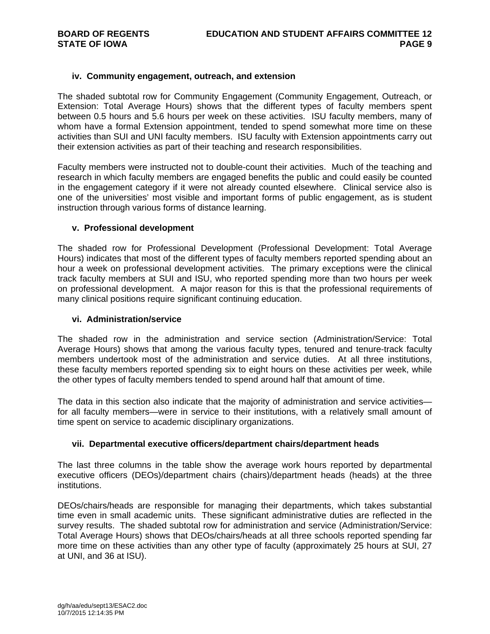#### **iv. Community engagement, outreach, and extension**

The shaded subtotal row for Community Engagement (Community Engagement, Outreach, or Extension: Total Average Hours) shows that the different types of faculty members spent between 0.5 hours and 5.6 hours per week on these activities. ISU faculty members, many of whom have a formal Extension appointment, tended to spend somewhat more time on these activities than SUI and UNI faculty members. ISU faculty with Extension appointments carry out their extension activities as part of their teaching and research responsibilities.

Faculty members were instructed not to double-count their activities. Much of the teaching and research in which faculty members are engaged benefits the public and could easily be counted in the engagement category if it were not already counted elsewhere. Clinical service also is one of the universities' most visible and important forms of public engagement, as is student instruction through various forms of distance learning.

#### **v. Professional development**

The shaded row for Professional Development (Professional Development: Total Average Hours) indicates that most of the different types of faculty members reported spending about an hour a week on professional development activities. The primary exceptions were the clinical track faculty members at SUI and ISU, who reported spending more than two hours per week on professional development. A major reason for this is that the professional requirements of many clinical positions require significant continuing education.

#### **vi. Administration/service**

The shaded row in the administration and service section (Administration/Service: Total Average Hours) shows that among the various faculty types, tenured and tenure-track faculty members undertook most of the administration and service duties. At all three institutions, these faculty members reported spending six to eight hours on these activities per week, while the other types of faculty members tended to spend around half that amount of time.

The data in this section also indicate that the majority of administration and service activities for all faculty members—were in service to their institutions, with a relatively small amount of time spent on service to academic disciplinary organizations.

#### **vii. Departmental executive officers/department chairs/department heads**

The last three columns in the table show the average work hours reported by departmental executive officers (DEOs)/department chairs (chairs)/department heads (heads) at the three institutions.

DEOs/chairs/heads are responsible for managing their departments, which takes substantial time even in small academic units. These significant administrative duties are reflected in the survey results. The shaded subtotal row for administration and service (Administration/Service: Total Average Hours) shows that DEOs/chairs/heads at all three schools reported spending far more time on these activities than any other type of faculty (approximately 25 hours at SUI, 27 at UNI, and 36 at ISU).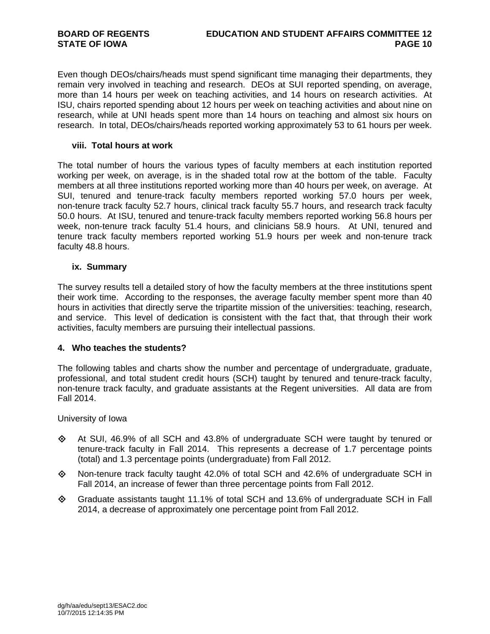Even though DEOs/chairs/heads must spend significant time managing their departments, they remain very involved in teaching and research. DEOs at SUI reported spending, on average, more than 14 hours per week on teaching activities, and 14 hours on research activities. At ISU, chairs reported spending about 12 hours per week on teaching activities and about nine on research, while at UNI heads spent more than 14 hours on teaching and almost six hours on research. In total, DEOs/chairs/heads reported working approximately 53 to 61 hours per week.

#### **viii. Total hours at work**

The total number of hours the various types of faculty members at each institution reported working per week, on average, is in the shaded total row at the bottom of the table. Faculty members at all three institutions reported working more than 40 hours per week, on average. At SUI, tenured and tenure-track faculty members reported working 57.0 hours per week, non-tenure track faculty 52.7 hours, clinical track faculty 55.7 hours, and research track faculty 50.0 hours. At ISU, tenured and tenure-track faculty members reported working 56.8 hours per week, non-tenure track faculty 51.4 hours, and clinicians 58.9 hours. At UNI, tenured and tenure track faculty members reported working 51.9 hours per week and non-tenure track faculty 48.8 hours.

#### **ix. Summary**

The survey results tell a detailed story of how the faculty members at the three institutions spent their work time. According to the responses, the average faculty member spent more than 40 hours in activities that directly serve the tripartite mission of the universities: teaching, research, and service. This level of dedication is consistent with the fact that, that through their work activities, faculty members are pursuing their intellectual passions.

#### **4. Who teaches the students?**

The following tables and charts show the number and percentage of undergraduate, graduate, professional, and total student credit hours (SCH) taught by tenured and tenure-track faculty, non-tenure track faculty, and graduate assistants at the Regent universities. All data are from Fall 2014.

University of Iowa

- $\diamond$  At SUI, 46.9% of all SCH and 43.8% of undergraduate SCH were taught by tenured or tenure-track faculty in Fall 2014. This represents a decrease of 1.7 percentage points (total) and 1.3 percentage points (undergraduate) from Fall 2012.
- $\Diamond$  Non-tenure track faculty taught 42.0% of total SCH and 42.6% of undergraduate SCH in Fall 2014, an increase of fewer than three percentage points from Fall 2012.
- $\Diamond$  Graduate assistants taught 11.1% of total SCH and 13.6% of undergraduate SCH in Fall 2014, a decrease of approximately one percentage point from Fall 2012.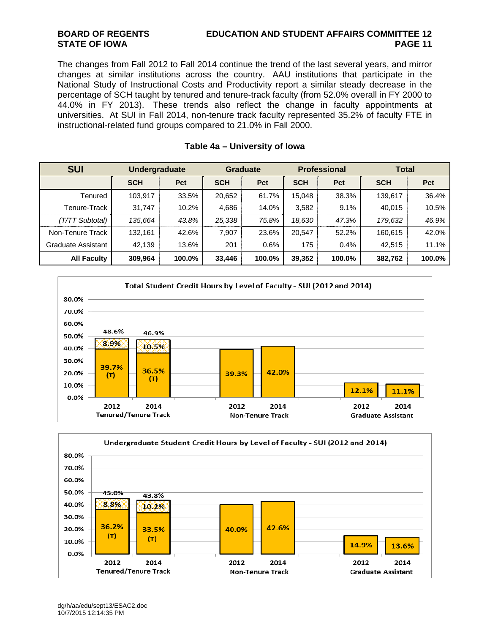The changes from Fall 2012 to Fall 2014 continue the trend of the last several years, and mirror changes at similar institutions across the country. AAU institutions that participate in the National Study of Instructional Costs and Productivity report a similar steady decrease in the percentage of SCH taught by tenured and tenure-track faculty (from 52.0% overall in FY 2000 to 44.0% in FY 2013). These trends also reflect the change in faculty appointments at universities. At SUI in Fall 2014, non-tenure track faculty represented 35.2% of faculty FTE in instructional-related fund groups compared to 21.0% in Fall 2000.

| <b>SUI</b>         | <b>Undergraduate</b> |        | <b>Graduate</b> |        | <b>Professional</b> |        | <b>Total</b> |        |
|--------------------|----------------------|--------|-----------------|--------|---------------------|--------|--------------|--------|
|                    | <b>SCH</b>           | Pct    | <b>SCH</b>      | Pct    | <b>SCH</b>          | Pct    | <b>SCH</b>   | Pct    |
| Tenured            | 103,917              | 33.5%  | 20,652          | 61.7%  | 15.048              | 38.3%  | 139,617      | 36.4%  |
| Tenure-Track       | 31,747               | 10.2%  | 4,686           | 14.0%  | 3,582               | 9.1%   | 40,015       | 10.5%  |
| (T/TT Subtotal)    | 135.664              | 43.8%  | 25,338          | 75.8%  | 18,630              | 47.3%  | 179,632      | 46.9%  |
| Non-Tenure Track   | 132,161              | 42.6%  | 7,907           | 23.6%  | 20,547              | 52.2%  | 160,615      | 42.0%  |
| Graduate Assistant | 42.139               | 13.6%  | 201             | 0.6%   | 175                 | 0.4%   | 42,515       | 11.1%  |
| <b>All Faculty</b> | 309,964              | 100.0% | 33,446          | 100.0% | 39,352              | 100.0% | 382,762      | 100.0% |

#### **Table 4a – University of Iowa**



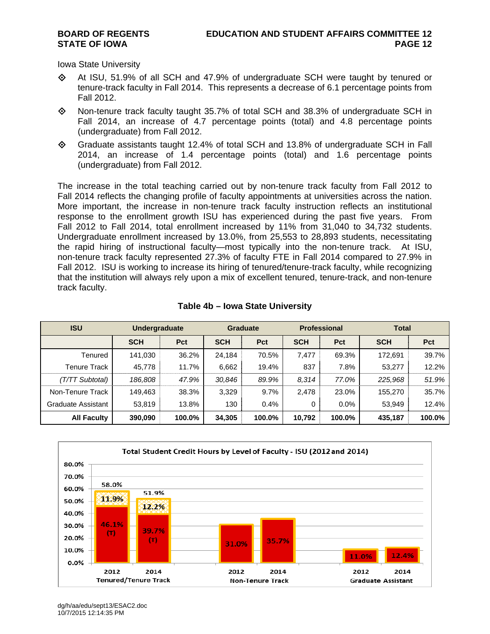Iowa State University

- $\diamond$  At ISU, 51.9% of all SCH and 47.9% of undergraduate SCH were taught by tenured or tenure-track faculty in Fall 2014. This represents a decrease of 6.1 percentage points from Fall 2012.
- $\diamond$  Non-tenure track faculty taught 35.7% of total SCH and 38.3% of undergraduate SCH in Fall 2014, an increase of 4.7 percentage points (total) and 4.8 percentage points (undergraduate) from Fall 2012.
- Graduate assistants taught 12.4% of total SCH and 13.8% of undergraduate SCH in Fall 2014, an increase of 1.4 percentage points (total) and 1.6 percentage points (undergraduate) from Fall 2012.

The increase in the total teaching carried out by non-tenure track faculty from Fall 2012 to Fall 2014 reflects the changing profile of faculty appointments at universities across the nation. More important, the increase in non-tenure track faculty instruction reflects an institutional response to the enrollment growth ISU has experienced during the past five years. From Fall 2012 to Fall 2014, total enrollment increased by 11% from 31,040 to 34,732 students. Undergraduate enrollment increased by 13.0%, from 25,553 to 28,893 students, necessitating the rapid hiring of instructional faculty—most typically into the non-tenure track. At ISU, non-tenure track faculty represented 27.3% of faculty FTE in Fall 2014 compared to 27.9% in Fall 2012. ISU is working to increase its hiring of tenured/tenure-track faculty, while recognizing that the institution will always rely upon a mix of excellent tenured, tenure-track, and non-tenure track faculty.

| <b>ISU</b>         | <b>Undergraduate</b> |        | <b>Graduate</b> |            | <b>Professional</b> |            | <b>Total</b> |            |
|--------------------|----------------------|--------|-----------------|------------|---------------------|------------|--------------|------------|
|                    | <b>SCH</b>           | Pct    | <b>SCH</b>      | <b>Pct</b> | <b>SCH</b>          | <b>Pct</b> | <b>SCH</b>   | <b>Pct</b> |
| Tenured            | 141.030              | 36.2%  | 24.184          | 70.5%      | 7.477               | 69.3%      | 172.691      | 39.7%      |
| Tenure Track       | 45,778               | 11.7%  | 6,662           | 19.4%      | 837                 | 7.8%       | 53,277       | 12.2%      |
| (T/TT Subtotal)    | 186.808              | 47.9%  | 30,846          | 89.9%      | 8.314               | 77.0%      | 225,968      | 51.9%      |
| Non-Tenure Track   | 149.463              | 38.3%  | 3,329           | 9.7%       | 2,478               | 23.0%      | 155.270      | 35.7%      |
| Graduate Assistant | 53,819               | 13.8%  | 130             | 0.4%       | 0                   | $0.0\%$    | 53,949       | 12.4%      |
| <b>All Faculty</b> | 390,090              | 100.0% | 34,305          | 100.0%     | 10,792              | 100.0%     | 435,187      | 100.0%     |

### **Table 4b – Iowa State University**



dg/h/aa/edu/sept13/ESAC2.doc 10/7/2015 12:14:35 PM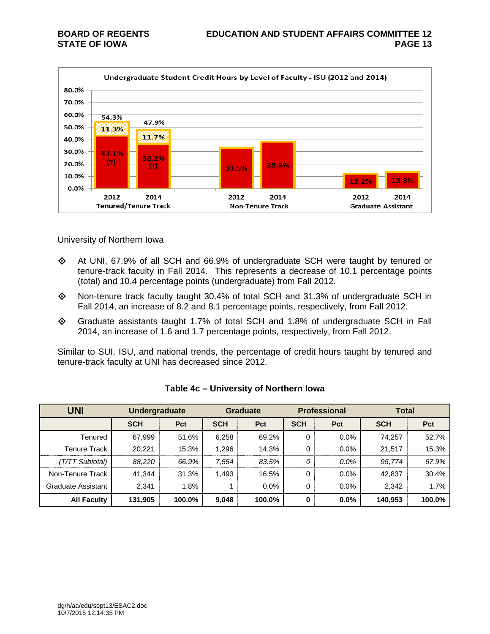

University of Northern Iowa

- $\Diamond$  At UNI, 67.9% of all SCH and 66.9% of undergraduate SCH were taught by tenured or tenure-track faculty in Fall 2014. This represents a decrease of 10.1 percentage points (total) and 10.4 percentage points (undergraduate) from Fall 2012.
- Non-tenure track faculty taught 30.4% of total SCH and 31.3% of undergraduate SCH in Fall 2014, an increase of 8.2 and 8.1 percentage points, respectively, from Fall 2012.
- Graduate assistants taught 1.7% of total SCH and 1.8% of undergraduate SCH in Fall 2014, an increase of 1.6 and 1.7 percentage points, respectively, from Fall 2012.

Similar to SUI, ISU, and national trends, the percentage of credit hours taught by tenured and tenure-track faculty at UNI has decreased since 2012.

| <b>UNI</b>                | <b>Undergraduate</b> |        |            | <b>Professional</b><br><b>Graduate</b> |            | <b>Total</b> |            |        |
|---------------------------|----------------------|--------|------------|----------------------------------------|------------|--------------|------------|--------|
|                           | <b>SCH</b>           | Pct    | <b>SCH</b> | <b>Pct</b>                             | <b>SCH</b> | <b>Pct</b>   | <b>SCH</b> | Pct    |
| Tenured                   | 67,999               | 51.6%  | 6,258      | 69.2%                                  | 0          | 0.0%         | 74,257     | 52.7%  |
| Tenure Track              | 20,221               | 15.3%  | 1,296      | 14.3%                                  | 0          | 0.0%         | 21,517     | 15.3%  |
| (T/TT Subtotal)           | 88,220               | 66.9%  | 7,554      | 83.5%                                  | 0          | $0.0\%$      | 95,774     | 67.9%  |
| Non-Tenure Track          | 41.344               | 31.3%  | 1,493      | 16.5%                                  | 0          | 0.0%         | 42,837     | 30.4%  |
| <b>Graduate Assistant</b> | 2,341                | 1.8%   |            | 0.0%                                   | 0          | $0.0\%$      | 2,342      | 1.7%   |
| <b>All Faculty</b>        | 131,905              | 100.0% | 9,048      | 100.0%                                 | $\bf{0}$   | $0.0\%$      | 140,953    | 100.0% |

### **Table 4c – University of Northern Iowa**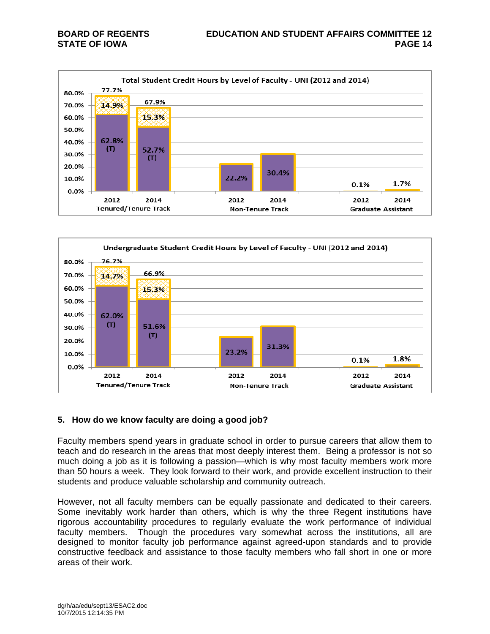



#### **5. How do we know faculty are doing a good job?**

Faculty members spend years in graduate school in order to pursue careers that allow them to teach and do research in the areas that most deeply interest them. Being a professor is not so much doing a job as it is following a passion—which is why most faculty members work more than 50 hours a week. They look forward to their work, and provide excellent instruction to their students and produce valuable scholarship and community outreach.

However, not all faculty members can be equally passionate and dedicated to their careers. Some inevitably work harder than others, which is why the three Regent institutions have rigorous accountability procedures to regularly evaluate the work performance of individual faculty members. Though the procedures vary somewhat across the institutions, all are designed to monitor faculty job performance against agreed-upon standards and to provide constructive feedback and assistance to those faculty members who fall short in one or more areas of their work.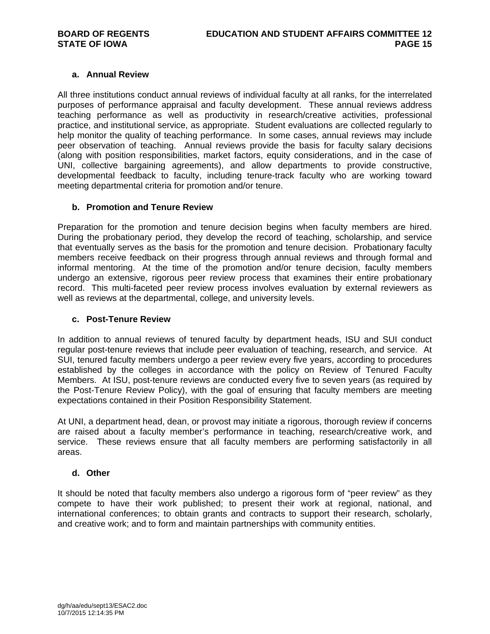#### **a. Annual Review**

All three institutions conduct annual reviews of individual faculty at all ranks, for the interrelated purposes of performance appraisal and faculty development. These annual reviews address teaching performance as well as productivity in research/creative activities, professional practice, and institutional service, as appropriate. Student evaluations are collected regularly to help monitor the quality of teaching performance. In some cases, annual reviews may include peer observation of teaching. Annual reviews provide the basis for faculty salary decisions (along with position responsibilities, market factors, equity considerations, and in the case of UNI, collective bargaining agreements), and allow departments to provide constructive, developmental feedback to faculty, including tenure-track faculty who are working toward meeting departmental criteria for promotion and/or tenure.

#### **b. Promotion and Tenure Review**

Preparation for the promotion and tenure decision begins when faculty members are hired. During the probationary period, they develop the record of teaching, scholarship, and service that eventually serves as the basis for the promotion and tenure decision. Probationary faculty members receive feedback on their progress through annual reviews and through formal and informal mentoring. At the time of the promotion and/or tenure decision, faculty members undergo an extensive, rigorous peer review process that examines their entire probationary record. This multi-faceted peer review process involves evaluation by external reviewers as well as reviews at the departmental, college, and university levels.

#### **c. Post-Tenure Review**

In addition to annual reviews of tenured faculty by department heads, ISU and SUI conduct regular post-tenure reviews that include peer evaluation of teaching, research, and service. At SUI, tenured faculty members undergo a peer review every five years, according to procedures established by the colleges in accordance with the policy on Review of Tenured Faculty Members. At ISU, post-tenure reviews are conducted every five to seven years (as required by the Post-Tenure Review Policy), with the goal of ensuring that faculty members are meeting expectations contained in their Position Responsibility Statement.

At UNI, a department head, dean, or provost may initiate a rigorous, thorough review if concerns are raised about a faculty member's performance in teaching, research/creative work, and service. These reviews ensure that all faculty members are performing satisfactorily in all areas.

#### **d. Other**

It should be noted that faculty members also undergo a rigorous form of "peer review" as they compete to have their work published; to present their work at regional, national, and international conferences; to obtain grants and contracts to support their research, scholarly, and creative work; and to form and maintain partnerships with community entities.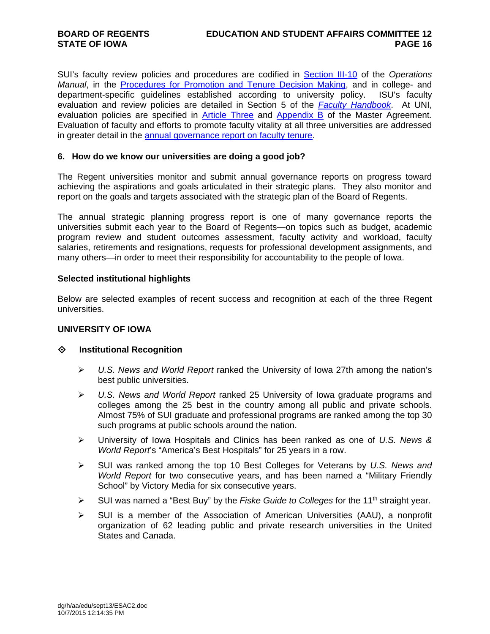SUI's faculty review policies and procedures are codified in Section III-10 of the *Operations Manual*, in the **Procedures for Promotion and Tenure Decision Making**, and in college- and department-specific guidelines established according to university policy. ISU's faculty evaluation and review policies are detailed in Section 5 of the *Faculty Handbook*. At UNI, evaluation policies are specified in Article Three and Appendix B of the Master Agreement. Evaluation of faculty and efforts to promote faculty vitality at all three universities are addressed in greater detail in the annual governance report on faculty tenure.

#### **6. How do we know our universities are doing a good job?**

The Regent universities monitor and submit annual governance reports on progress toward achieving the aspirations and goals articulated in their strategic plans. They also monitor and report on the goals and targets associated with the strategic plan of the Board of Regents.

The annual strategic planning progress report is one of many governance reports the universities submit each year to the Board of Regents—on topics such as budget, academic program review and student outcomes assessment, faculty activity and workload, faculty salaries, retirements and resignations, requests for professional development assignments, and many others—in order to meet their responsibility for accountability to the people of Iowa.

#### **Selected institutional highlights**

Below are selected examples of recent success and recognition at each of the three Regent universities.

#### **UNIVERSITY OF IOWA**

#### **Institutional Recognition**

- *U.S. News and World Report* ranked the University of Iowa 27th among the nation's best public universities.
- *U.S. News and World Report* ranked 25 University of Iowa graduate programs and colleges among the 25 best in the country among all public and private schools. Almost 75% of SUI graduate and professional programs are ranked among the top 30 such programs at public schools around the nation.
- University of Iowa Hospitals and Clinics has been ranked as one of *U.S. News & World Report*'s "America's Best Hospitals" for 25 years in a row.
- SUI was ranked among the top 10 Best Colleges for Veterans by *U.S. News and World Report* for two consecutive years, and has been named a "Military Friendly School" by Victory Media for six consecutive years.
- SUI was named a "Best Buy" by the *Fiske Guide to Colleges* for the 11th straight year.
- $\triangleright$  SUI is a member of the Association of American Universities (AAU), a nonprofit organization of 62 leading public and private research universities in the United States and Canada.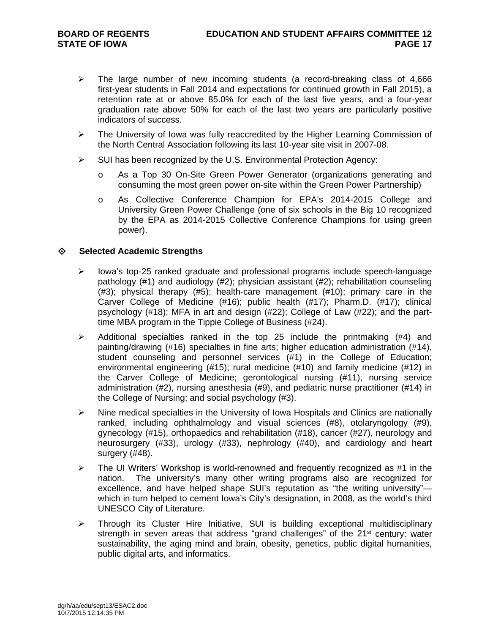- $\triangleright$  The large number of new incoming students (a record-breaking class of 4,666 first-year students in Fall 2014 and expectations for continued growth in Fall 2015), a retention rate at or above 85.0% for each of the last five years, and a four-year graduation rate above 50% for each of the last two years are particularly positive indicators of success.
- $\triangleright$  The University of Iowa was fully reaccredited by the Higher Learning Commission of the North Central Association following its last 10-year site visit in 2007-08.
- $\triangleright$  SUI has been recognized by the U.S. Environmental Protection Agency:
	- o As a Top 30 On-Site Green Power Generator (organizations generating and consuming the most green power on-site within the Green Power Partnership)
	- o As Collective Conference Champion for EPA's 2014-2015 College and University Green Power Challenge (one of six schools in the Big 10 recognized by the EPA as 2014-2015 Collective Conference Champions for using green power).

#### **Selected Academic Strengths**

- $\triangleright$  lowa's top-25 ranked graduate and professional programs include speech-language pathology (#1) and audiology (#2); physician assistant (#2); rehabilitation counseling (#3); physical therapy (#5); health-care management (#10); primary care in the Carver College of Medicine (#16); public health (#17); Pharm.D. (#17); clinical psychology (#18); MFA in art and design (#22); College of Law (#22); and the parttime MBA program in the Tippie College of Business (#24).
- $\triangleright$  Additional specialties ranked in the top 25 include the printmaking (#4) and painting/drawing (#16) specialties in fine arts; higher education administration (#14), student counseling and personnel services (#1) in the College of Education; environmental engineering (#15); rural medicine (#10) and family medicine (#12) in the Carver College of Medicine; gerontological nursing (#11), nursing service administration (#2), nursing anesthesia (#9), and pediatric nurse practitioner (#14) in the College of Nursing; and social psychology (#3).
- $\triangleright$  Nine medical specialties in the University of Iowa Hospitals and Clinics are nationally ranked, including ophthalmology and visual sciences (#8), otolaryngology (#9), gynecology (#15), orthopaedics and rehabilitation (#18), cancer (#27), neurology and neurosurgery (#33), urology (#33), nephrology (#40), and cardiology and heart surgery (#48).
- $\triangleright$  The UI Writers' Workshop is world-renowned and frequently recognized as #1 in the nation. The university's many other writing programs also are recognized for excellence, and have helped shape SUI's reputation as "the writing university" which in turn helped to cement Iowa's City's designation, in 2008, as the world's third UNESCO City of Literature.
- Through its Cluster Hire Initiative, SUI is building exceptional multidisciplinary strength in seven areas that address "grand challenges" of the 21<sup>st</sup> century: water sustainability, the aging mind and brain, obesity, genetics, public digital humanities, public digital arts, and informatics.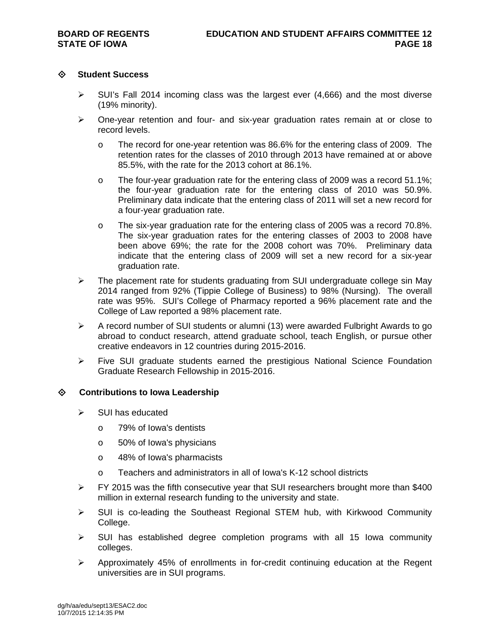#### **Student Success**

- $\triangleright$  SUI's Fall 2014 incoming class was the largest ever (4,666) and the most diverse (19% minority).
- $\triangleright$  One-year retention and four- and six-year graduation rates remain at or close to record levels.
	- o The record for one-year retention was 86.6% for the entering class of 2009. The retention rates for the classes of 2010 through 2013 have remained at or above 85.5%, with the rate for the 2013 cohort at 86.1%.
	- o The four-year graduation rate for the entering class of 2009 was a record 51.1%; the four-year graduation rate for the entering class of 2010 was 50.9%. Preliminary data indicate that the entering class of 2011 will set a new record for a four-year graduation rate.
	- o The six-year graduation rate for the entering class of 2005 was a record 70.8%. The six-year graduation rates for the entering classes of 2003 to 2008 have been above 69%; the rate for the 2008 cohort was 70%. Preliminary data indicate that the entering class of 2009 will set a new record for a six-year graduation rate.
- $\triangleright$  The placement rate for students graduating from SUI undergraduate college sin May 2014 ranged from 92% (Tippie College of Business) to 98% (Nursing). The overall rate was 95%. SUI's College of Pharmacy reported a 96% placement rate and the College of Law reported a 98% placement rate.
- $\triangleright$  A record number of SUI students or alumni (13) were awarded Fulbright Awards to go abroad to conduct research, attend graduate school, teach English, or pursue other creative endeavors in 12 countries during 2015-2016.
- $\triangleright$  Five SUI graduate students earned the prestigious National Science Foundation Graduate Research Fellowship in 2015-2016.

#### **Contributions to Iowa Leadership**

- $\triangleright$  SUI has educated
	- o 79% of Iowa's dentists
	- o 50% of Iowa's physicians
	- o 48% of Iowa's pharmacists
	- o Teachers and administrators in all of Iowa's K-12 school districts
- $\triangleright$  FY 2015 was the fifth consecutive year that SUI researchers brought more than \$400 million in external research funding to the university and state.
- $\triangleright$  SUI is co-leading the Southeast Regional STEM hub, with Kirkwood Community College.
- $\triangleright$  SUI has established degree completion programs with all 15 Iowa community colleges.
- $\triangleright$  Approximately 45% of enrollments in for-credit continuing education at the Regent universities are in SUI programs.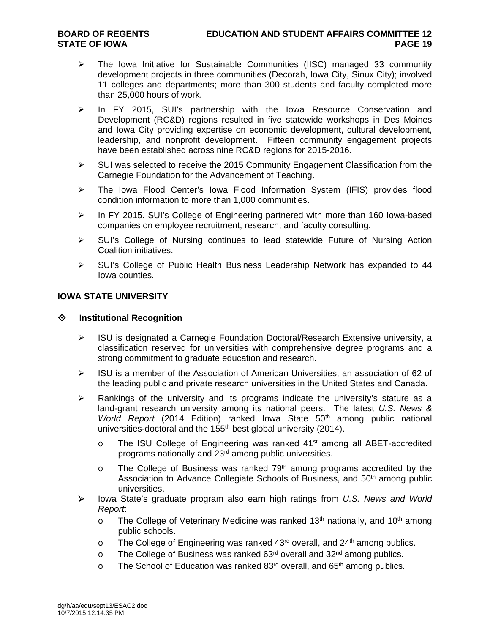- $\triangleright$  The Iowa Initiative for Sustainable Communities (IISC) managed 33 community development projects in three communities (Decorah, Iowa City, Sioux City); involved 11 colleges and departments; more than 300 students and faculty completed more than 25,000 hours of work.
- $\triangleright$  In FY 2015, SUI's partnership with the Iowa Resource Conservation and Development (RC&D) regions resulted in five statewide workshops in Des Moines and Iowa City providing expertise on economic development, cultural development, leadership, and nonprofit development. Fifteen community engagement projects have been established across nine RC&D regions for 2015-2016.
- $\triangleright$  SUI was selected to receive the 2015 Community Engagement Classification from the Carnegie Foundation for the Advancement of Teaching.
- ▶ The Iowa Flood Center's Iowa Flood Information System (IFIS) provides flood condition information to more than 1,000 communities.
- $\triangleright$  In FY 2015. SUI's College of Engineering partnered with more than 160 Iowa-based companies on employee recruitment, research, and faculty consulting.
- $\triangleright$  SUI's College of Nursing continues to lead statewide Future of Nursing Action Coalition initiatives.
- $\triangleright$  SUI's College of Public Health Business Leadership Network has expanded to 44 Iowa counties.

### **IOWA STATE UNIVERSITY**

#### **Institutional Recognition**

- $\triangleright$  ISU is designated a Carnegie Foundation Doctoral/Research Extensive university, a classification reserved for universities with comprehensive degree programs and a strong commitment to graduate education and research.
- $\triangleright$  ISU is a member of the Association of American Universities, an association of 62 of the leading public and private research universities in the United States and Canada.
- $\triangleright$  Rankings of the university and its programs indicate the university's stature as a land-grant research university among its national peers. The latest *U.S. News & World Report* (2014 Edition) ranked Iowa State 50<sup>th</sup> among public national universities-doctoral and the 155<sup>th</sup> best global university (2014).
	- $\circ$  The ISU College of Engineering was ranked 41<sup>st</sup> among all ABET-accredited programs nationally and 23rd among public universities.
	- $\circ$  The College of Business was ranked 79<sup>th</sup> among programs accredited by the Association to Advance Collegiate Schools of Business, and 50<sup>th</sup> among public universities.
- Iowa State's graduate program also earn high ratings from *U.S. News and World Report*:
	- $\circ$  The College of Veterinary Medicine was ranked 13<sup>th</sup> nationally, and 10<sup>th</sup> among public schools.
	- $\circ$  The College of Engineering was ranked 43<sup>rd</sup> overall, and 24<sup>th</sup> among publics.
	- o The College of Business was ranked  $63<sup>rd</sup>$  overall and  $32<sup>nd</sup>$  among publics.
	- $\circ$  The School of Education was ranked 83<sup>rd</sup> overall, and 65<sup>th</sup> among publics.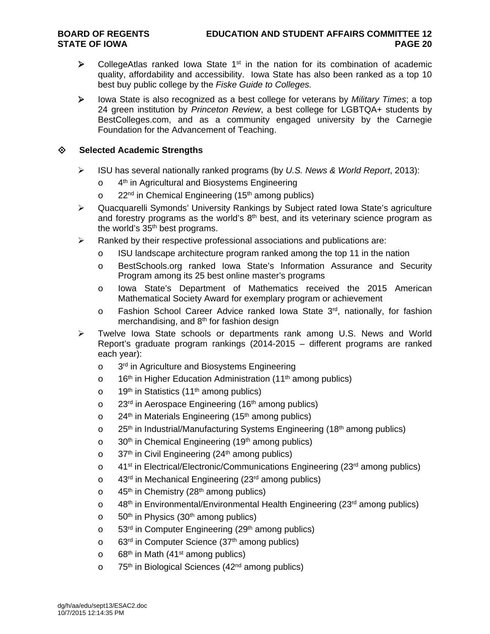- $\triangleright$  CollegeAtlas ranked Iowa State 1<sup>st</sup> in the nation for its combination of academic quality, affordability and accessibility. Iowa State has also been ranked as a top 10 best buy public college by the *Fiske Guide to Colleges.*
- Iowa State is also recognized as a best college for veterans by *Military Times*; a top 24 green institution by *Princeton Review*, a best college for LGBTQA+ students by BestColleges.com, and as a community engaged university by the Carnegie Foundation for the Advancement of Teaching.

#### **Selected Academic Strengths**

- ISU has several nationally ranked programs (by *U.S. News & World Report*, 2013):
	- o 4<sup>th</sup> in Agricultural and Biosystems Engineering
	- $\circ$  22<sup>nd</sup> in Chemical Engineering (15<sup>th</sup> among publics)
- Quacquarelli Symonds' University Rankings by Subject rated Iowa State's agriculture and forestry programs as the world's  $8<sup>th</sup>$  best, and its veterinary science program as the world's  $35<sup>th</sup>$  best programs.
- $\triangleright$  Ranked by their respective professional associations and publications are:
	- $\circ$  ISU landscape architecture program ranked among the top 11 in the nation
	- o BestSchools.org ranked Iowa State's Information Assurance and Security Program among its 25 best online master's programs
	- o Iowa State's Department of Mathematics received the 2015 American Mathematical Society Award for exemplary program or achievement
	- o Fashion School Career Advice ranked Iowa State 3rd, nationally, for fashion merchandising, and 8th for fashion design
- Twelve Iowa State schools or departments rank among U.S. News and World Report's graduate program rankings (2014-2015 – different programs are ranked each year):
	- o 3<sup>rd</sup> in Agriculture and Biosystems Engineering
	- $\circ$  16<sup>th</sup> in Higher Education Administration (11<sup>th</sup> among publics)
	- $\circ$  19<sup>th</sup> in Statistics (11<sup>th</sup> among publics)
	- $\circ$  23<sup>rd</sup> in Aerospace Engineering (16<sup>th</sup> among publics)
	- $\circ$  24<sup>th</sup> in Materials Engineering (15<sup>th</sup> among publics)
	- $\degree$  25<sup>th</sup> in Industrial/Manufacturing Systems Engineering (18<sup>th</sup> among publics)
	- $\circ$  30<sup>th</sup> in Chemical Engineering (19<sup>th</sup> among publics)
	- $\circ$  37<sup>th</sup> in Civil Engineering (24<sup>th</sup> among publics)
	- $\circ$  41<sup>st</sup> in Electrical/Electronic/Communications Engineering (23<sup>rd</sup> among publics)
	- $\circ$  43<sup>rd</sup> in Mechanical Engineering (23<sup>rd</sup> among publics)
	- $\circ$  45<sup>th</sup> in Chemistry (28<sup>th</sup> among publics)
	- $\circ$  48<sup>th</sup> in Environmental/Environmental Health Engineering (23<sup>rd</sup> among publics)
	- $\circ$  50<sup>th</sup> in Physics (30<sup>th</sup> among publics)
	- $\circ$  53<sup>rd</sup> in Computer Engineering (29<sup>th</sup> among publics)
	- $\circ$  63<sup>rd</sup> in Computer Science (37<sup>th</sup> among publics)
	- $\circ$  68<sup>th</sup> in Math (41<sup>st</sup> among publics)
	- $\circ$  75<sup>th</sup> in Biological Sciences (42<sup>nd</sup> among publics)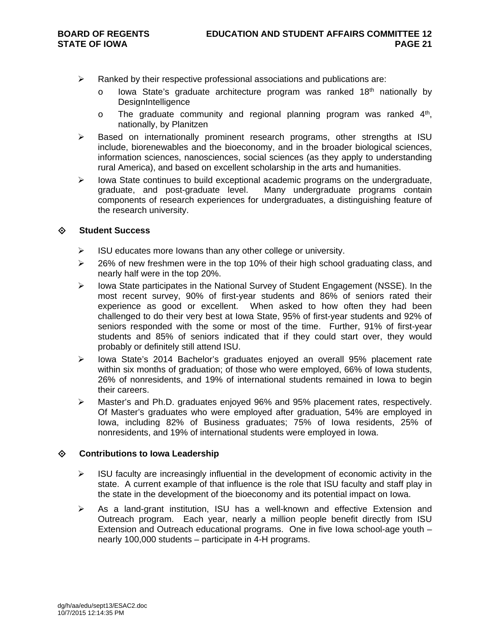- $\triangleright$  Ranked by their respective professional associations and publications are:
	- $\circ$  lowa State's graduate architecture program was ranked 18<sup>th</sup> nationally by **DesignIntelligence**
	- $\circ$  The graduate community and regional planning program was ranked  $4<sup>th</sup>$ , nationally, by Planitzen
- $\triangleright$  Based on internationally prominent research programs, other strengths at ISU include, biorenewables and the bioeconomy, and in the broader biological sciences, information sciences, nanosciences, social sciences (as they apply to understanding rural America), and based on excellent scholarship in the arts and humanities.
- $\triangleright$  lowa State continues to build exceptional academic programs on the undergraduate, graduate, and post-graduate level. Many undergraduate programs contain components of research experiences for undergraduates, a distinguishing feature of the research university.

#### **Student Success**

- $\triangleright$  ISU educates more lowans than any other college or university.
- $\geq$  26% of new freshmen were in the top 10% of their high school graduating class, and nearly half were in the top 20%.
- $\triangleright$  Iowa State participates in the National Survey of Student Engagement (NSSE). In the most recent survey, 90% of first-year students and 86% of seniors rated their experience as good or excellent. When asked to how often they had been challenged to do their very best at Iowa State, 95% of first-year students and 92% of seniors responded with the some or most of the time. Further, 91% of first-year students and 85% of seniors indicated that if they could start over, they would probably or definitely still attend ISU.
- > Iowa State's 2014 Bachelor's graduates enjoyed an overall 95% placement rate within six months of graduation; of those who were employed, 66% of Iowa students, 26% of nonresidents, and 19% of international students remained in Iowa to begin their careers.
- $\triangleright$  Master's and Ph.D. graduates enjoyed 96% and 95% placement rates, respectively. Of Master's graduates who were employed after graduation, 54% are employed in Iowa, including 82% of Business graduates; 75% of Iowa residents, 25% of nonresidents, and 19% of international students were employed in Iowa.

#### **Contributions to Iowa Leadership**

- $\triangleright$  ISU faculty are increasingly influential in the development of economic activity in the state. A current example of that influence is the role that ISU faculty and staff play in the state in the development of the bioeconomy and its potential impact on Iowa.
- $\triangleright$  As a land-grant institution, ISU has a well-known and effective Extension and Outreach program. Each year, nearly a million people benefit directly from ISU Extension and Outreach educational programs. One in five Iowa school-age youth – nearly 100,000 students – participate in 4-H programs.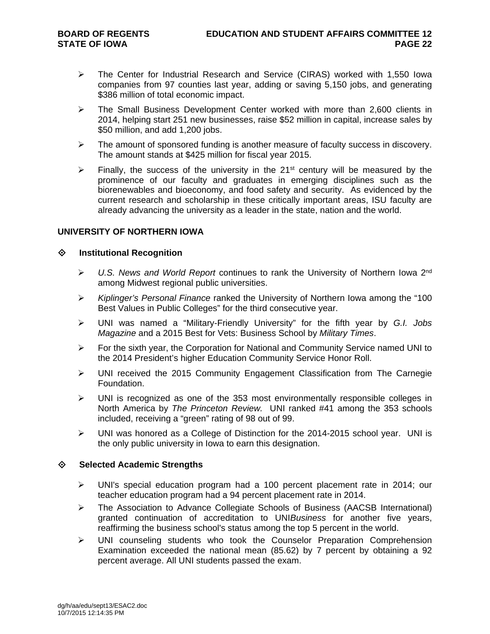- The Center for Industrial Research and Service (CIRAS) worked with 1,550 Iowa companies from 97 counties last year, adding or saving 5,150 jobs, and generating \$386 million of total economic impact.
- $\triangleright$  The Small Business Development Center worked with more than 2,600 clients in 2014, helping start 251 new businesses, raise \$52 million in capital, increase sales by \$50 million, and add 1,200 jobs.
- $\triangleright$  The amount of sponsored funding is another measure of faculty success in discovery. The amount stands at \$425 million for fiscal year 2015.
- Finally, the success of the university in the 21<sup>st</sup> century will be measured by the prominence of our faculty and graduates in emerging disciplines such as the biorenewables and bioeconomy, and food safety and security. As evidenced by the current research and scholarship in these critically important areas, ISU faculty are already advancing the university as a leader in the state, nation and the world.

#### **UNIVERSITY OF NORTHERN IOWA**

#### **Institutional Recognition**

- *U.S. News and World Report* continues to rank the University of Northern Iowa 2nd among Midwest regional public universities.
- *Kiplinger's Personal Finance* ranked the University of Northern Iowa among the "100 Best Values in Public Colleges" for the third consecutive year.
- UNI was named a "Military-Friendly University" for the fifth year by *G.I. Jobs Magazine* and a 2015 Best for Vets: Business School by *Military Times*.
- $\triangleright$  For the sixth year, the Corporation for National and Community Service named UNI to the 2014 President's higher Education Community Service Honor Roll.
- UNI received the 2015 Community Engagement Classification from The Carnegie Foundation.
- $\triangleright$  UNI is recognized as one of the 353 most environmentally responsible colleges in North America by *The Princeton Review.* UNI ranked #41 among the 353 schools included, receiving a "green" rating of 98 out of 99.
- $\triangleright$  UNI was honored as a College of Distinction for the 2014-2015 school year. UNI is the only public university in Iowa to earn this designation.

#### **Selected Academic Strengths**

- UNI's special education program had a 100 percent placement rate in 2014; our teacher education program had a 94 percent placement rate in 2014.
- The Association to Advance Collegiate Schools of Business (AACSB International) granted continuation of accreditation to UNI*Business* for another five years, reaffirming the business school's status among the top 5 percent in the world.
- $\triangleright$  UNI counseling students who took the Counselor Preparation Comprehension Examination exceeded the national mean (85.62) by 7 percent by obtaining a 92 percent average. All UNI students passed the exam.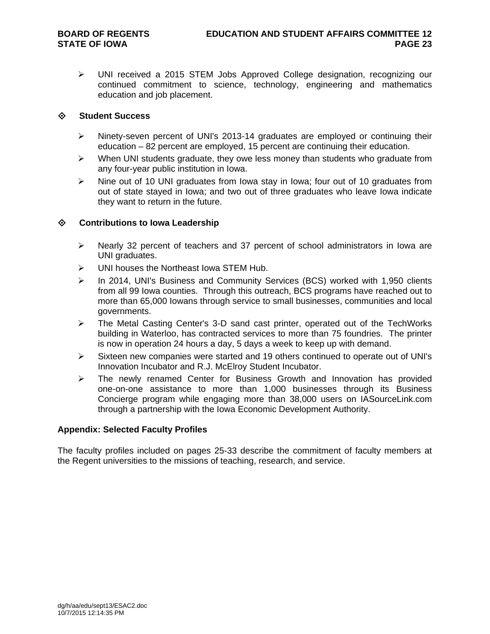UNI received a 2015 STEM Jobs Approved College designation, recognizing our continued commitment to science, technology, engineering and mathematics education and job placement.

#### **Student Success**

- Ninety-seven percent of UNI's 2013-14 graduates are employed or continuing their education – 82 percent are employed, 15 percent are continuing their education.
- $\triangleright$  When UNI students graduate, they owe less money than students who graduate from any four-year public institution in Iowa.
- $\triangleright$  Nine out of 10 UNI graduates from Iowa stay in Iowa; four out of 10 graduates from out of state stayed in Iowa; and two out of three graduates who leave Iowa indicate they want to return in the future.

#### **Contributions to Iowa Leadership**

- $\triangleright$  Nearly 32 percent of teachers and 37 percent of school administrators in Iowa are UNI graduates.
- UNI houses the Northeast Iowa STEM Hub.
- $\triangleright$  In 2014, UNI's Business and Community Services (BCS) worked with 1,950 clients from all 99 Iowa counties. Through this outreach, BCS programs have reached out to more than 65,000 Iowans through service to small businesses, communities and local governments.
- $\triangleright$  The Metal Casting Center's 3-D sand cast printer, operated out of the TechWorks building in Waterloo, has contracted services to more than 75 foundries. The printer is now in operation 24 hours a day, 5 days a week to keep up with demand.
- $\triangleright$  Sixteen new companies were started and 19 others continued to operate out of UNI's Innovation Incubator and R.J. McElroy Student Incubator.
- $\triangleright$  The newly renamed Center for Business Growth and Innovation has provided one-on-one assistance to more than 1,000 businesses through its Business Concierge program while engaging more than 38,000 users on IASourceLink.com through a partnership with the Iowa Economic Development Authority.

#### **Appendix: Selected Faculty Profiles**

The faculty profiles included on pages 25-33 describe the commitment of faculty members at the Regent universities to the missions of teaching, research, and service.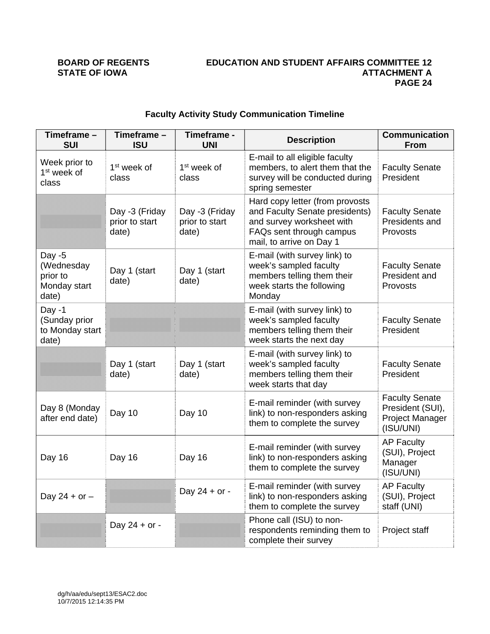#### **BOARD OF REGENTS EDUCATION AND STUDENT AFFAIRS COMMITTEE 12 ATTACHMENT A PAGE 24**

| Timeframe -<br><b>SUI</b>                                   | Timeframe -<br><b>ISU</b>                 | Timeframe -<br><b>UNI</b>                 | <b>Description</b>                                                                                                                                     | <b>Communication</b><br><b>From</b>                                       |
|-------------------------------------------------------------|-------------------------------------------|-------------------------------------------|--------------------------------------------------------------------------------------------------------------------------------------------------------|---------------------------------------------------------------------------|
| Week prior to<br>1 <sup>st</sup> week of<br>class           | 1 <sup>st</sup> week of<br>class          | 1 <sup>st</sup> week of<br>class          | E-mail to all eligible faculty<br>members, to alert them that the<br>survey will be conducted during<br>spring semester                                | <b>Faculty Senate</b><br>President                                        |
|                                                             | Day -3 (Friday<br>prior to start<br>date) | Day -3 (Friday<br>prior to start<br>date) | Hard copy letter (from provosts<br>and Faculty Senate presidents)<br>and survey worksheet with<br>FAQs sent through campus<br>mail, to arrive on Day 1 | <b>Faculty Senate</b><br>Presidents and<br>Provosts                       |
| Day $-5$<br>(Wednesday<br>prior to<br>Monday start<br>date) | Day 1 (start<br>date)                     | Day 1 (start<br>date)                     | E-mail (with survey link) to<br>week's sampled faculty<br>members telling them their<br>week starts the following<br>Monday                            | <b>Faculty Senate</b><br>President and<br>Provosts                        |
| Day -1<br>(Sunday prior<br>to Monday start<br>date)         |                                           |                                           | E-mail (with survey link) to<br>week's sampled faculty<br>members telling them their<br>week starts the next day                                       | <b>Faculty Senate</b><br>President                                        |
|                                                             | Day 1 (start<br>date)                     | Day 1 (start<br>date)                     | E-mail (with survey link) to<br>week's sampled faculty<br>members telling them their<br>week starts that day                                           | <b>Faculty Senate</b><br>President                                        |
| Day 8 (Monday<br>after end date)                            | Day 10                                    | Day 10                                    | E-mail reminder (with survey<br>link) to non-responders asking<br>them to complete the survey                                                          | <b>Faculty Senate</b><br>President (SUI),<br>Project Manager<br>(ISU/UNI) |
| Day 16                                                      | Day 16                                    | Day 16                                    | E-mail reminder (with survey<br>link) to non-responders asking<br>them to complete the survey                                                          | <b>AP Faculty</b><br>(SUI), Project<br>Manager<br>(ISU/UNI)               |
| Day 24 + or $-$                                             |                                           | Day 24 + or -                             | E-mail reminder (with survey<br>link) to non-responders asking<br>them to complete the survey                                                          | <b>AP Faculty</b><br>(SUI), Project<br>staff (UNI)                        |
|                                                             | Day $24 + or -$                           |                                           | Phone call (ISU) to non-<br>respondents reminding them to<br>complete their survey                                                                     | Project staff                                                             |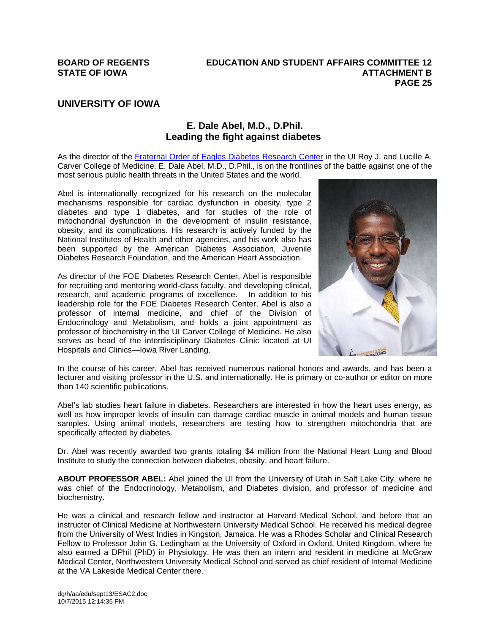### **UNIVERSITY OF IOWA**

#### **E. Dale Abel, M.D., D.Phil. Leading the fight against diabetes**

As the director of the Fraternal Order of Eagles Diabetes Research Center in the UI Roy J. and Lucille A. Carver College of Medicine, E. Dale Abel, M.D., D.Phil., is on the frontlines of the battle against one of the most serious public health threats in the United States and the world.

Abel is internationally recognized for his research on the molecular mechanisms responsible for cardiac dysfunction in obesity, type 2 diabetes and type 1 diabetes, and for studies of the role of mitochondrial dysfunction in the development of insulin resistance, obesity, and its complications. His research is actively funded by the National Institutes of Health and other agencies, and his work also has been supported by the American Diabetes Association, Juvenile Diabetes Research Foundation, and the American Heart Association.

As director of the FOE Diabetes Research Center, Abel is responsible for recruiting and mentoring world-class faculty, and developing clinical, research, and academic programs of excellence. In addition to his leadership role for the FOE Diabetes Research Center, Abel is also a professor of internal medicine, and chief of the Division of Endocrinology and Metabolism, and holds a joint appointment as professor of biochemistry in the UI Carver College of Medicine. He also serves as head of the interdisciplinary Diabetes Clinic located at UI Hospitals and Clinics—Iowa River Landing.



In the course of his career, Abel has received numerous national honors and awards, and has been a lecturer and visiting professor in the U.S. and internationally. He is primary or co-author or editor on more than 140 scientific publications.

Abel's lab studies heart failure in diabetes. Researchers are interested in how the heart uses energy, as well as how improper levels of insulin can damage cardiac muscle in animal models and human tissue samples. Using animal models, researchers are testing how to strengthen mitochondria that are specifically affected by diabetes.

Dr. Abel was recently awarded two grants totaling \$4 million from the National Heart Lung and Blood Institute to study the connection between diabetes, obesity, and heart failure.

**ABOUT PROFESSOR ABEL:** Abel joined the UI from the University of Utah in Salt Lake City, where he was chief of the Endocrinology, Metabolism, and Diabetes division, and professor of medicine and biochemistry.

He was a clinical and research fellow and instructor at Harvard Medical School, and before that an instructor of Clinical Medicine at Northwestern University Medical School. He received his medical degree from the University of West Indies in Kingston, Jamaica. He was a Rhodes Scholar and Clinical Research Fellow to Professor John G. Ledingham at the University of Oxford in Oxford, United Kingdom, where he also earned a DPhil (PhD) in Physiology. He was then an intern and resident in medicine at McGraw Medical Center, Northwestern University Medical School and served as chief resident of Internal Medicine at the VA Lakeside Medical Center there.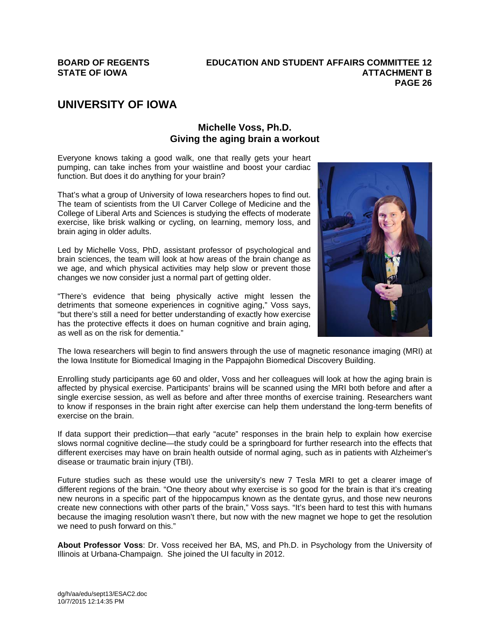# **UNIVERSITY OF IOWA**

### **Michelle Voss, Ph.D. Giving the aging brain a workout**

Everyone knows taking a good walk, one that really gets your heart pumping, can take inches from your waistline and boost your cardiac function. But does it do anything for your brain?

That's what a group of University of Iowa researchers hopes to find out. The team of scientists from the UI Carver College of Medicine and the College of Liberal Arts and Sciences is studying the effects of moderate exercise, like brisk walking or cycling, on learning, memory loss, and brain aging in older adults.

Led by Michelle Voss, PhD, assistant professor of psychological and brain sciences, the team will look at how areas of the brain change as we age, and which physical activities may help slow or prevent those changes we now consider just a normal part of getting older.

"There's evidence that being physically active might lessen the detriments that someone experiences in cognitive aging," Voss says, "but there's still a need for better understanding of exactly how exercise has the protective effects it does on human cognitive and brain aging. as well as on the risk for dementia."



The Iowa researchers will begin to find answers through the use of magnetic resonance imaging (MRI) at the Iowa Institute for Biomedical Imaging in the Pappajohn Biomedical Discovery Building.

Enrolling study participants age 60 and older, Voss and her colleagues will look at how the aging brain is affected by physical exercise. Participants' brains will be scanned using the MRI both before and after a single exercise session, as well as before and after three months of exercise training. Researchers want to know if responses in the brain right after exercise can help them understand the long-term benefits of exercise on the brain.

If data support their prediction—that early "acute" responses in the brain help to explain how exercise slows normal cognitive decline—the study could be a springboard for further research into the effects that different exercises may have on brain health outside of normal aging, such as in patients with Alzheimer's disease or traumatic brain injury (TBI).

Future studies such as these would use the university's new 7 Tesla MRI to get a clearer image of different regions of the brain. "One theory about why exercise is so good for the brain is that it's creating new neurons in a specific part of the hippocampus known as the dentate gyrus, and those new neurons create new connections with other parts of the brain," Voss says. "It's been hard to test this with humans because the imaging resolution wasn't there, but now with the new magnet we hope to get the resolution we need to push forward on this."

**About Professor Voss**: Dr. Voss received her BA, MS, and Ph.D. in Psychology from the University of Illinois at Urbana-Champaign. She joined the UI faculty in 2012.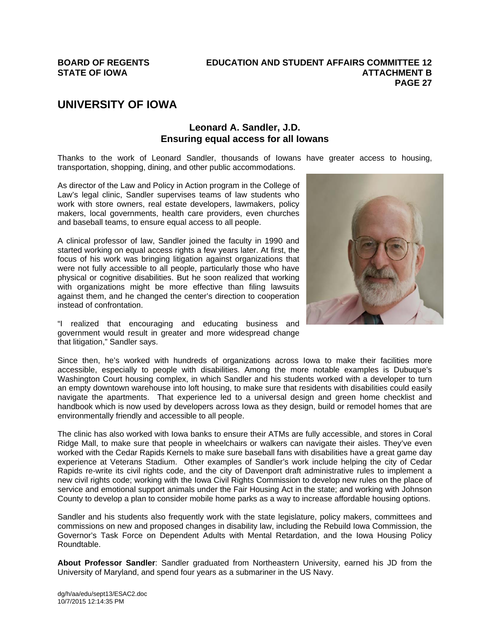# **UNIVERSITY OF IOWA**

#### **Leonard A. Sandler, J.D. Ensuring equal access for all Iowans**

Thanks to the work of Leonard Sandler, thousands of Iowans have greater access to housing, transportation, shopping, dining, and other public accommodations.

As director of the Law and Policy in Action program in the College of Law's legal clinic, Sandler supervises teams of law students who work with store owners, real estate developers, lawmakers, policy makers, local governments, health care providers, even churches and baseball teams, to ensure equal access to all people.

A clinical professor of law, Sandler joined the faculty in 1990 and started working on equal access rights a few years later. At first, the focus of his work was bringing litigation against organizations that were not fully accessible to all people, particularly those who have physical or cognitive disabilities. But he soon realized that working with organizations might be more effective than filing lawsuits against them, and he changed the center's direction to cooperation instead of confrontation.

"I realized that encouraging and educating business and government would result in greater and more widespread change that litigation," Sandler says.



Since then, he's worked with hundreds of organizations across Iowa to make their facilities more accessible, especially to people with disabilities. Among the more notable examples is Dubuque's Washington Court housing complex, in which Sandler and his students worked with a developer to turn an empty downtown warehouse into loft housing, to make sure that residents with disabilities could easily navigate the apartments. That experience led to a universal design and green home checklist and handbook which is now used by developers across Iowa as they design, build or remodel homes that are environmentally friendly and accessible to all people.

The clinic has also worked with Iowa banks to ensure their ATMs are fully accessible, and stores in Coral Ridge Mall, to make sure that people in wheelchairs or walkers can navigate their aisles. They've even worked with the Cedar Rapids Kernels to make sure baseball fans with disabilities have a great game day experience at Veterans Stadium. Other examples of Sandler's work include helping the city of Cedar Rapids re-write its civil rights code, and the city of Davenport draft administrative rules to implement a new civil rights code; working with the Iowa Civil Rights Commission to develop new rules on the place of service and emotional support animals under the Fair Housing Act in the state; and working with Johnson County to develop a plan to consider mobile home parks as a way to increase affordable housing options.

Sandler and his students also frequently work with the state legislature, policy makers, committees and commissions on new and proposed changes in disability law, including the Rebuild Iowa Commission, the Governor's Task Force on Dependent Adults with Mental Retardation, and the Iowa Housing Policy Roundtable.

**About Professor Sandler**: Sandler graduated from Northeastern University, earned his JD from the University of Maryland, and spend four years as a submariner in the US Navy.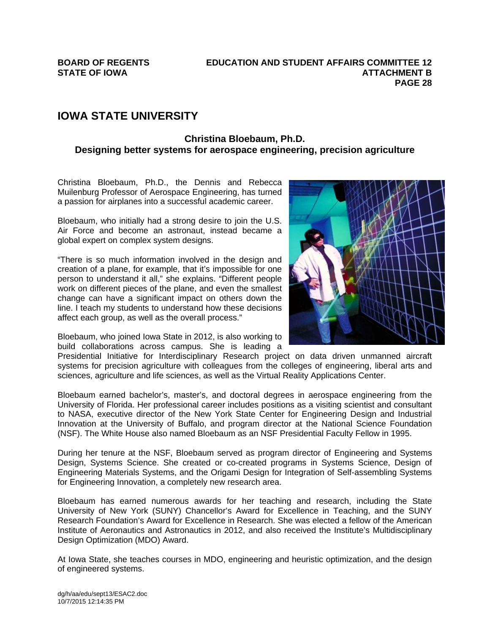## **IOWA STATE UNIVERSITY**

#### **Christina Bloebaum, Ph.D. Designing better systems for aerospace engineering, precision agriculture**

Christina Bloebaum, Ph.D., the Dennis and Rebecca Muilenburg Professor of Aerospace Engineering, has turned a passion for airplanes into a successful academic career.

Bloebaum, who initially had a strong desire to join the U.S. Air Force and become an astronaut, instead became a global expert on complex system designs.

"There is so much information involved in the design and creation of a plane, for example, that it's impossible for one person to understand it all," she explains. "Different people work on different pieces of the plane, and even the smallest change can have a significant impact on others down the line. I teach my students to understand how these decisions affect each group, as well as the overall process."

Bloebaum, who joined Iowa State in 2012, is also working to build collaborations across campus. She is leading a

Presidential Initiative for Interdisciplinary Research project on data driven unmanned aircraft systems for precision agriculture with colleagues from the colleges of engineering, liberal arts and sciences, agriculture and life sciences, as well as the Virtual Reality Applications Center.

Bloebaum earned bachelor's, master's, and doctoral degrees in aerospace engineering from the University of Florida. Her professional career includes positions as a visiting scientist and consultant to NASA, executive director of the New York State Center for Engineering Design and Industrial Innovation at the University of Buffalo, and program director at the National Science Foundation (NSF). The White House also named Bloebaum as an NSF Presidential Faculty Fellow in 1995.

During her tenure at the NSF, Bloebaum served as program director of Engineering and Systems Design, Systems Science. She created or co-created programs in Systems Science, Design of Engineering Materials Systems, and the Origami Design for Integration of Self-assembling Systems for Engineering Innovation, a completely new research area.

Bloebaum has earned numerous awards for her teaching and research, including the State University of New York (SUNY) Chancellor's Award for Excellence in Teaching, and the SUNY Research Foundation's Award for Excellence in Research. She was elected a fellow of the American Institute of Aeronautics and Astronautics in 2012, and also received the Institute's Multidisciplinary Design Optimization (MDO) Award.

At Iowa State, she teaches courses in MDO, engineering and heuristic optimization, and the design of engineered systems.

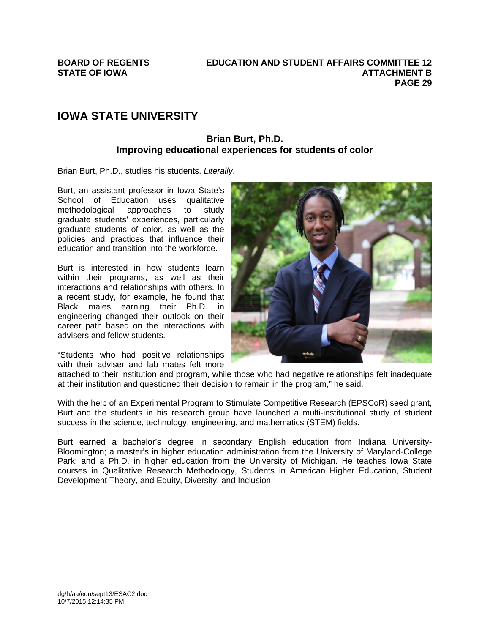# **IOWA STATE UNIVERSITY**

#### **Brian Burt, Ph.D. Improving educational experiences for students of color**

Brian Burt, Ph.D., studies his students. *Literally*.

Burt, an assistant professor in Iowa State's School of Education uses qualitative methodological approaches to study graduate students' experiences, particularly graduate students of color, as well as the policies and practices that influence their education and transition into the workforce.

Burt is interested in how students learn within their programs, as well as their interactions and relationships with others. In a recent study, for example, he found that Black males earning their Ph.D. in engineering changed their outlook on their career path based on the interactions with advisers and fellow students.

"Students who had positive relationships with their adviser and lab mates felt more



attached to their institution and program, while those who had negative relationships felt inadequate at their institution and questioned their decision to remain in the program," he said.

With the help of an Experimental Program to Stimulate Competitive Research (EPSCoR) seed grant, Burt and the students in his research group have launched a multi-institutional study of student success in the science, technology, engineering, and mathematics (STEM) fields.

Burt earned a bachelor's degree in secondary English education from Indiana University-Bloomington; a master's in higher education administration from the University of Maryland-College Park; and a Ph.D. in higher education from the University of Michigan. He teaches Iowa State courses in Qualitative Research Methodology, Students in American Higher Education, Student Development Theory, and Equity, Diversity, and Inclusion.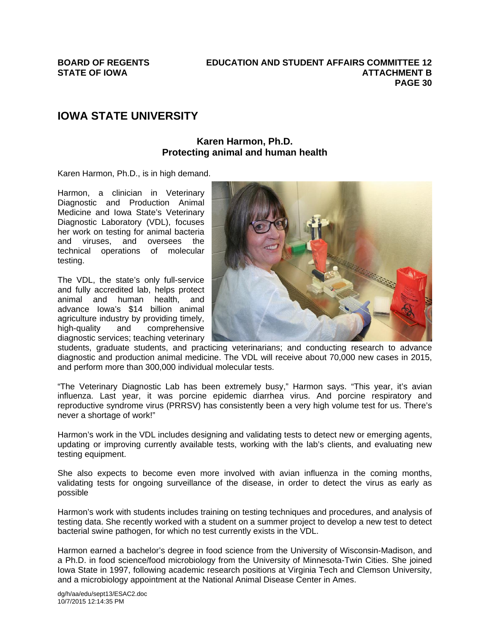# **IOWA STATE UNIVERSITY**

#### **Karen Harmon, Ph.D. Protecting animal and human health**

Karen Harmon, Ph.D., is in high demand.

Harmon, a clinician in Veterinary Diagnostic and Production Animal Medicine and Iowa State's Veterinary Diagnostic Laboratory (VDL), focuses her work on testing for animal bacteria and viruses, and oversees the technical operations of molecular testing.

The VDL, the state's only full-service and fully accredited lab, helps protect animal and human health, and advance Iowa's \$14 billion animal agriculture industry by providing timely, high-quality and comprehensive diagnostic services; teaching veterinary



students, graduate students, and practicing veterinarians; and conducting research to advance diagnostic and production animal medicine. The VDL will receive about 70,000 new cases in 2015, and perform more than 300,000 individual molecular tests.

"The Veterinary Diagnostic Lab has been extremely busy," Harmon says. "This year, it's avian influenza. Last year, it was porcine epidemic diarrhea virus. And porcine respiratory and reproductive syndrome virus (PRRSV) has consistently been a very high volume test for us. There's never a shortage of work!"

Harmon's work in the VDL includes designing and validating tests to detect new or emerging agents, updating or improving currently available tests, working with the lab's clients, and evaluating new testing equipment.

She also expects to become even more involved with avian influenza in the coming months, validating tests for ongoing surveillance of the disease, in order to detect the virus as early as possible

Harmon's work with students includes training on testing techniques and procedures, and analysis of testing data. She recently worked with a student on a summer project to develop a new test to detect bacterial swine pathogen, for which no test currently exists in the VDL.

Harmon earned a bachelor's degree in food science from the University of Wisconsin-Madison, and a Ph.D. in food science/food microbiology from the University of Minnesota-Twin Cities. She joined Iowa State in 1997, following academic research positions at Virginia Tech and Clemson University, and a microbiology appointment at the National Animal Disease Center in Ames.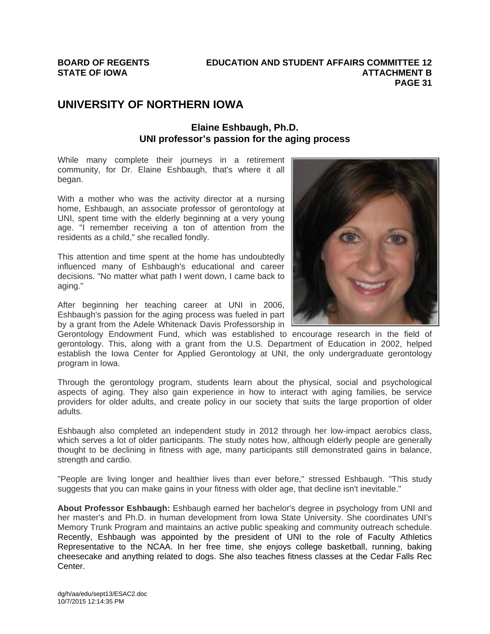# **UNIVERSITY OF NORTHERN IOWA**

### **Elaine Eshbaugh, Ph.D. UNI professor's passion for the aging process**

While many complete their journeys in a retirement community, for Dr. Elaine Eshbaugh, that's where it all began.

With a mother who was the activity director at a nursing home, Eshbaugh, an associate professor of gerontology at UNI, spent time with the elderly beginning at a very young age. "I remember receiving a ton of attention from the residents as a child," she recalled fondly.

This attention and time spent at the home has undoubtedly influenced many of Eshbaugh's educational and career decisions. "No matter what path I went down, I came back to aging."

After beginning her teaching career at UNI in 2006, Eshbaugh's passion for the aging process was fueled in part by a grant from the Adele Whitenack Davis Professorship in



Through the gerontology program, students learn about the physical, social and psychological aspects of aging. They also gain experience in how to interact with aging families, be service providers for older adults, and create policy in our society that suits the large proportion of older adults.

Eshbaugh also completed an independent study in 2012 through her low-impact aerobics class, which serves a lot of older participants. The study notes how, although elderly people are generally thought to be declining in fitness with age, many participants still demonstrated gains in balance, strength and cardio.

"People are living longer and healthier lives than ever before," stressed Eshbaugh. "This study suggests that you can make gains in your fitness with older age, that decline isn't inevitable."

**About Professor Eshbaugh:** Eshbaugh earned her bachelor's degree in psychology from UNI and her master's and Ph.D. in human development from Iowa State University. She coordinates UNI's Memory Trunk Program and maintains an active public speaking and community outreach schedule. Recently, Eshbaugh was appointed by the president of UNI to the role of Faculty Athletics Representative to the NCAA. In her free time, she enjoys college basketball, running, baking cheesecake and anything related to dogs. She also teaches fitness classes at the Cedar Falls Rec Center.

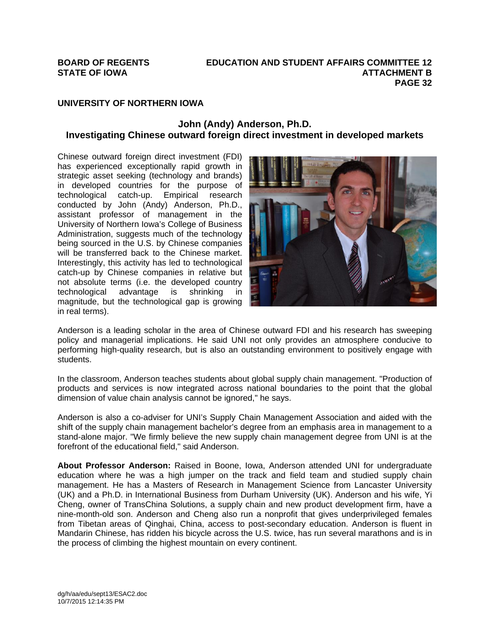#### **UNIVERSITY OF NORTHERN IOWA**

#### **John (Andy) Anderson, Ph.D. Investigating Chinese outward foreign direct investment in developed markets**

Chinese outward foreign direct investment (FDI) has experienced exceptionally rapid growth in strategic asset seeking (technology and brands) in developed countries for the purpose of technological catch-up. Empirical research conducted by John (Andy) Anderson, Ph.D., assistant professor of management in the University of Northern Iowa's College of Business Administration, suggests much of the technology being sourced in the U.S. by Chinese companies will be transferred back to the Chinese market. Interestingly, this activity has led to technological catch-up by Chinese companies in relative but not absolute terms (i.e. the developed country technological advantage is shrinking in magnitude, but the technological gap is growing in real terms).



Anderson is a leading scholar in the area of Chinese outward FDI and his research has sweeping policy and managerial implications. He said UNI not only provides an atmosphere conducive to performing high-quality research, but is also an outstanding environment to positively engage with students.

In the classroom, Anderson teaches students about global supply chain management. "Production of products and services is now integrated across national boundaries to the point that the global dimension of value chain analysis cannot be ignored," he says.

Anderson is also a co-adviser for UNI's Supply Chain Management Association and aided with the shift of the supply chain management bachelor's degree from an emphasis area in management to a stand-alone major. "We firmly believe the new supply chain management degree from UNI is at the forefront of the educational field," said Anderson.

**About Professor Anderson:** Raised in Boone, Iowa, Anderson attended UNI for undergraduate education where he was a high jumper on the track and field team and studied supply chain management. He has a Masters of Research in Management Science from Lancaster University (UK) and a Ph.D. in International Business from Durham University (UK). Anderson and his wife, Yi Cheng, owner of TransChina Solutions, a supply chain and new product development firm, have a nine-month-old son. Anderson and Cheng also run a nonprofit that gives underprivileged females from Tibetan areas of Qinghai, China, access to post-secondary education. Anderson is fluent in Mandarin Chinese, has ridden his bicycle across the U.S. twice, has run several marathons and is in the process of climbing the highest mountain on every continent.